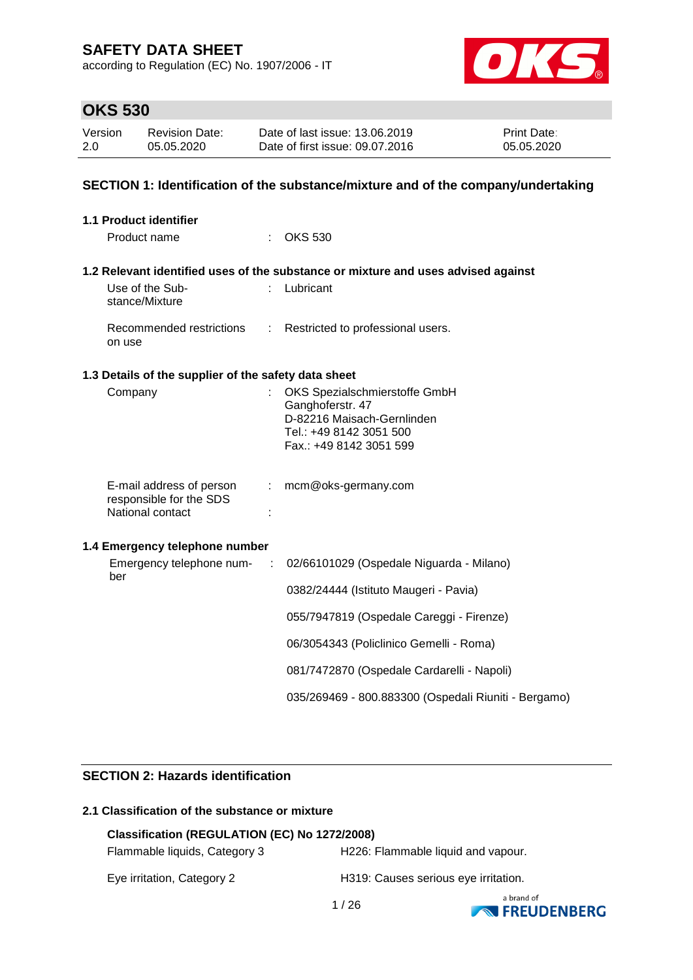according to Regulation (EC) No. 1907/2006 - IT



### **OKS 530**

| Version | <b>Revision Date:</b> | Date of last issue: 13.06.2019  | <b>Print Date:</b> |
|---------|-----------------------|---------------------------------|--------------------|
| 2.0     | 05.05.2020            | Date of first issue: 09.07.2016 | 05.05.2020         |

### **SECTION 1: Identification of the substance/mixture and of the company/undertaking**

| <b>1.1 Product identifier</b>                                           |           |                                                                                                                                       |
|-------------------------------------------------------------------------|-----------|---------------------------------------------------------------------------------------------------------------------------------------|
| Product name                                                            |           | <b>OKS 530</b>                                                                                                                        |
|                                                                         |           | 1.2 Relevant identified uses of the substance or mixture and uses advised against                                                     |
| Use of the Sub-<br>stance/Mixture                                       | t.        | Lubricant                                                                                                                             |
| Recommended restrictions<br>on use                                      |           | : Restricted to professional users.                                                                                                   |
| 1.3 Details of the supplier of the safety data sheet                    |           |                                                                                                                                       |
| Company                                                                 |           | OKS Spezialschmierstoffe GmbH<br>Ganghoferstr. 47<br>D-82216 Maisach-Gernlinden<br>Tel.: +49 8142 3051 500<br>Fax.: +49 8142 3051 599 |
| E-mail address of person<br>responsible for the SDS<br>National contact | t.<br>÷   | mcm@oks-germany.com                                                                                                                   |
| 1.4 Emergency telephone number                                          |           |                                                                                                                                       |
| Emergency telephone num-<br>ber                                         | $\sim$ 1. | 02/66101029 (Ospedale Niguarda - Milano)                                                                                              |
|                                                                         |           | 0382/24444 (Istituto Maugeri - Pavia)                                                                                                 |
|                                                                         |           | 055/7947819 (Ospedale Careggi - Firenze)                                                                                              |
|                                                                         |           | 06/3054343 (Policlinico Gemelli - Roma)                                                                                               |
|                                                                         |           | 081/7472870 (Ospedale Cardarelli - Napoli)                                                                                            |
|                                                                         |           | 035/269469 - 800.883300 (Ospedali Riuniti - Bergamo)                                                                                  |

### **SECTION 2: Hazards identification**

### **2.1 Classification of the substance or mixture**

### **Classification (REGULATION (EC) No 1272/2008)**

Flammable liquids, Category 3 H226: Flammable liquid and vapour.

Eye irritation, Category 2 **H319: Causes serious eye irritation**.

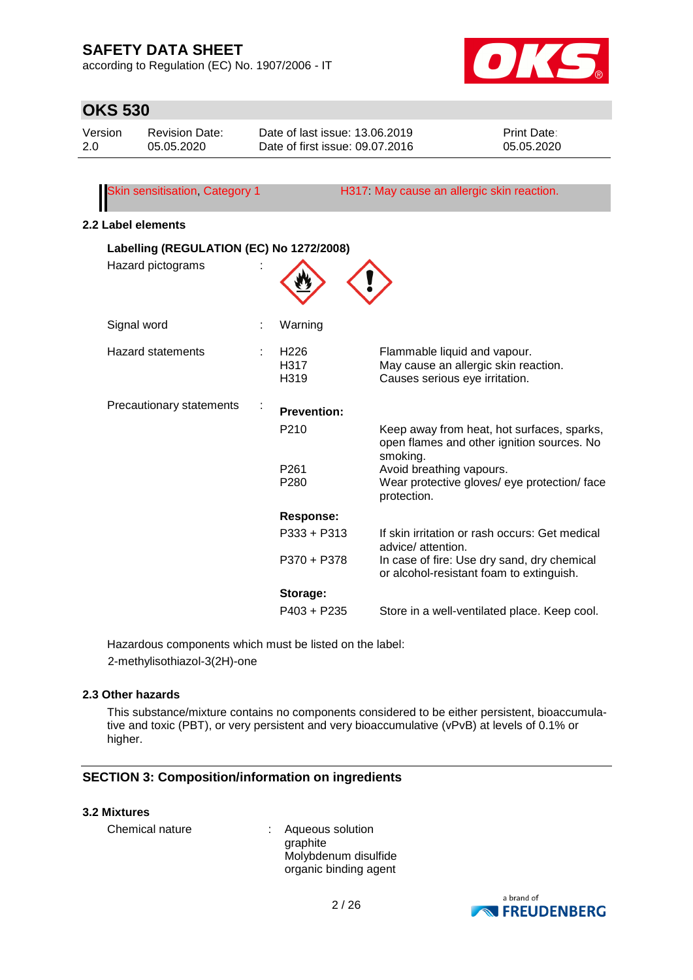according to Regulation (EC) No. 1907/2006 - IT



| <b>OKS 530</b> |                                          |                                                                   |                                                                                                        |                           |
|----------------|------------------------------------------|-------------------------------------------------------------------|--------------------------------------------------------------------------------------------------------|---------------------------|
| Version<br>2.0 | <b>Revision Date:</b><br>05.05.2020      | Date of last issue: 13.06.2019<br>Date of first issue: 09.07.2016 |                                                                                                        | Print Date:<br>05.05.2020 |
|                |                                          |                                                                   |                                                                                                        |                           |
|                | Skin sensitisation, Category 1           |                                                                   | H317 May cause an allergic skin reaction.                                                              |                           |
|                | 2.2 Label elements                       |                                                                   |                                                                                                        |                           |
|                | Labelling (REGULATION (EC) No 1272/2008) |                                                                   |                                                                                                        |                           |
|                | Hazard pictograms                        |                                                                   |                                                                                                        |                           |
|                | Signal word                              | Warning                                                           |                                                                                                        |                           |
|                | <b>Hazard statements</b>                 | H <sub>226</sub><br>H317<br>H319                                  | Flammable liquid and vapour.<br>May cause an allergic skin reaction.<br>Causes serious eye irritation. |                           |
|                | Precautionary statements                 | <b>Prevention:</b>                                                |                                                                                                        |                           |
|                |                                          | P210                                                              | Keep away from heat, hot surfaces, sparks,<br>open flames and other ignition sources. No<br>smoking.   |                           |
|                |                                          | P261<br>P280                                                      | Avoid breathing vapours.<br>Wear protective gloves/ eye protection/ face<br>protection.                |                           |
|                |                                          | <b>Response:</b>                                                  |                                                                                                        |                           |
|                |                                          | $P333 + P313$                                                     | If skin irritation or rash occurs: Get medical<br>advice/ attention.                                   |                           |
|                |                                          | P370 + P378                                                       | In case of fire: Use dry sand, dry chemical<br>or alcohol-resistant foam to extinguish.                |                           |
|                |                                          | Storage:                                                          |                                                                                                        |                           |
|                |                                          | $P403 + P235$                                                     | Store in a well-ventilated place. Keep cool.                                                           |                           |

Hazardous components which must be listed on the label: 2-methylisothiazol-3(2H)-one

#### **2.3 Other hazards**

This substance/mixture contains no components considered to be either persistent, bioaccumulative and toxic (PBT), or very persistent and very bioaccumulative (vPvB) at levels of 0.1% or higher.

#### **SECTION 3: Composition/information on ingredients**

### **3.2 Mixtures**

| Chemical nature | Aqueous solution      |
|-----------------|-----------------------|
|                 | graphite              |
|                 | Molybdenum disulfide  |
|                 | organic binding agent |

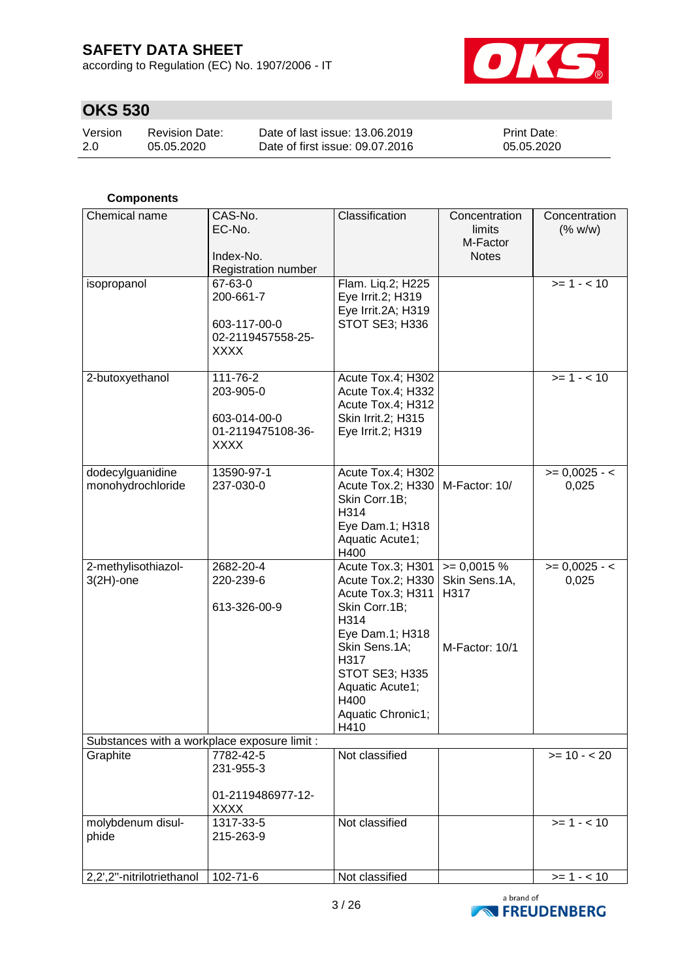according to Regulation (EC) No. 1907/2006 - IT



# **OKS 530**

| Version | <b>Revision Date:</b> | Date of last issue: 13.06.2019  | <b>Print Date:</b> |
|---------|-----------------------|---------------------------------|--------------------|
| 2.0     | 05.05.2020            | Date of first issue: 09.07.2016 | 05.05.2020         |

### **Components**

| Chemical name                                | CAS-No.<br>EC-No.<br>Index-No.                                            | Classification                                                                                                                                                                                             | Concentration<br>limits<br>M-Factor<br><b>Notes</b>     | Concentration<br>(% w/w) |
|----------------------------------------------|---------------------------------------------------------------------------|------------------------------------------------------------------------------------------------------------------------------------------------------------------------------------------------------------|---------------------------------------------------------|--------------------------|
|                                              | <b>Registration number</b>                                                |                                                                                                                                                                                                            |                                                         |                          |
| isopropanol                                  | 67-63-0<br>200-661-7<br>603-117-00-0<br>02-2119457558-25-<br><b>XXXX</b>  | Flam. Liq.2; H225<br>Eye Irrit.2; H319<br>Eye Irrit.2A; H319<br>STOT SE3; H336                                                                                                                             |                                                         | $>= 1 - 10$              |
| 2-butoxyethanol                              | 111-76-2<br>203-905-0<br>603-014-00-0<br>01-2119475108-36-<br><b>XXXX</b> | Acute Tox.4; H302<br>Acute Tox.4; H332<br>Acute Tox.4; H312<br>Skin Irrit.2; H315<br>Eye Irrit.2; H319                                                                                                     |                                                         | $>= 1 - 10$              |
| dodecylguanidine<br>monohydrochloride        | 13590-97-1<br>237-030-0                                                   | Acute Tox.4; H302<br>Acute Tox.2; H330<br>Skin Corr.1B;<br>H314<br>Eye Dam.1; H318<br>Aquatic Acute1;<br>H400                                                                                              | M-Factor: 10/                                           | $>= 0,0025 - 1$<br>0,025 |
| 2-methylisothiazol-<br>$3(2H)$ -one          | 2682-20-4<br>220-239-6<br>613-326-00-9                                    | Acute Tox.3; H301<br>Acute Tox.2; H330<br>Acute Tox.3; H311<br>Skin Corr.1B;<br>H314<br>Eye Dam.1; H318<br>Skin Sens.1A;<br>H317<br>STOT SE3; H335<br>Aquatic Acute1;<br>H400<br>Aquatic Chronic1;<br>H410 | $= 0,0015 %$<br>Skin Sens.1A,<br>H317<br>M-Factor: 10/1 | $>= 0,0025 - 1$<br>0,025 |
| Substances with a workplace exposure limit : |                                                                           |                                                                                                                                                                                                            |                                                         |                          |
| Graphite                                     | 7782-42-5<br>231-955-3<br>01-2119486977-12-<br><b>XXXX</b>                | Not classified                                                                                                                                                                                             |                                                         | $>= 10 - 20$             |
| molybdenum disul-<br>phide                   | 1317-33-5<br>215-263-9                                                    | Not classified                                                                                                                                                                                             |                                                         | $>= 1 - 10$              |
| 2,2',2"-nitrilotriethanol                    | 102-71-6                                                                  | Not classified                                                                                                                                                                                             |                                                         | $>= 1 - 10$              |

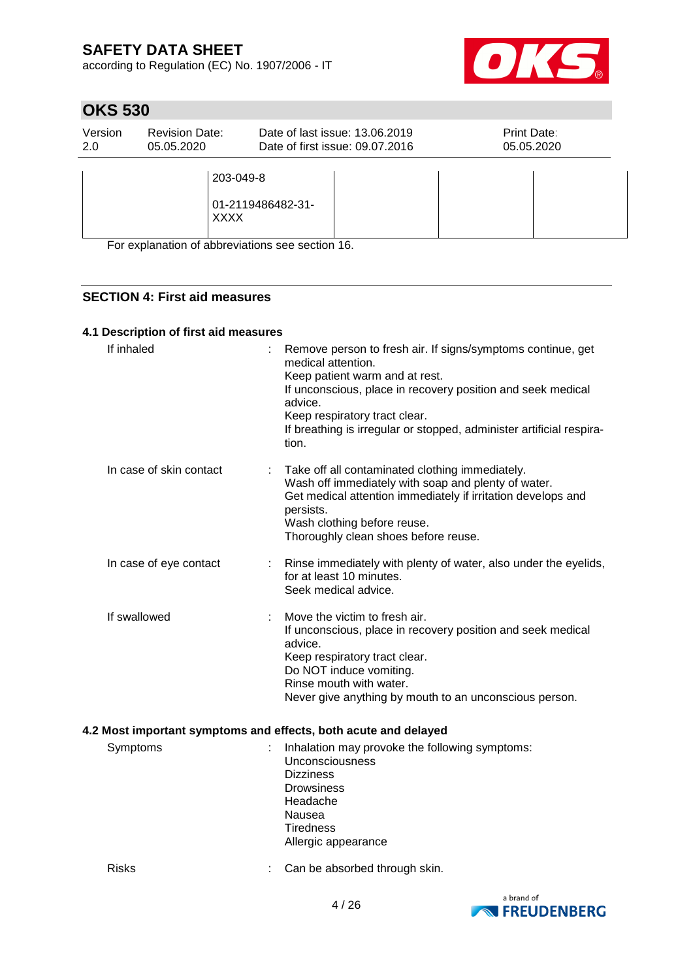according to Regulation (EC) No. 1907/2006 - IT



# **OKS 530**

| Version | <b>Revision Date:</b>    | Date of last issue: 13.06.2019  | Print Date: |
|---------|--------------------------|---------------------------------|-------------|
| 2.0     | 05.05.2020               | Date of first issue: 09.07.2016 | 05.05.2020  |
|         | 203-049-8<br><b>XXXX</b> | 01-2119486482-31-               |             |

For explanation of abbreviations see section 16.

### **SECTION 4: First aid measures**

### **4.1 Description of first aid measures**

| If inhaled                                                      |  | Remove person to fresh air. If signs/symptoms continue, get<br>medical attention.<br>Keep patient warm and at rest.<br>If unconscious, place in recovery position and seek medical<br>advice.<br>Keep respiratory tract clear.<br>If breathing is irregular or stopped, administer artificial respira-<br>tion. |  |
|-----------------------------------------------------------------|--|-----------------------------------------------------------------------------------------------------------------------------------------------------------------------------------------------------------------------------------------------------------------------------------------------------------------|--|
| In case of skin contact                                         |  | Take off all contaminated clothing immediately.<br>Wash off immediately with soap and plenty of water.<br>Get medical attention immediately if irritation develops and<br>persists.<br>Wash clothing before reuse.<br>Thoroughly clean shoes before reuse.                                                      |  |
| In case of eye contact                                          |  | Rinse immediately with plenty of water, also under the eyelids,<br>for at least 10 minutes.<br>Seek medical advice.                                                                                                                                                                                             |  |
| If swallowed                                                    |  | Move the victim to fresh air.<br>If unconscious, place in recovery position and seek medical<br>advice.<br>Keep respiratory tract clear.<br>Do NOT induce vomiting.<br>Rinse mouth with water.<br>Never give anything by mouth to an unconscious person.                                                        |  |
| 4.2 Most important symptoms and effects, both acute and delayed |  |                                                                                                                                                                                                                                                                                                                 |  |
|                                                                 |  | Cumptoma superior del descripción de la contrada de la followina cumptomar                                                                                                                                                                                                                                      |  |

| Symptoms | Inhalation may provoke the following symptoms:<br><b>Unconsciousness</b><br><b>Dizziness</b><br><b>Drowsiness</b><br>Headache<br>Nausea<br><b>Tiredness</b> |
|----------|-------------------------------------------------------------------------------------------------------------------------------------------------------------|
|          | Allergic appearance                                                                                                                                         |
|          |                                                                                                                                                             |

Risks : Can be absorbed through skin.

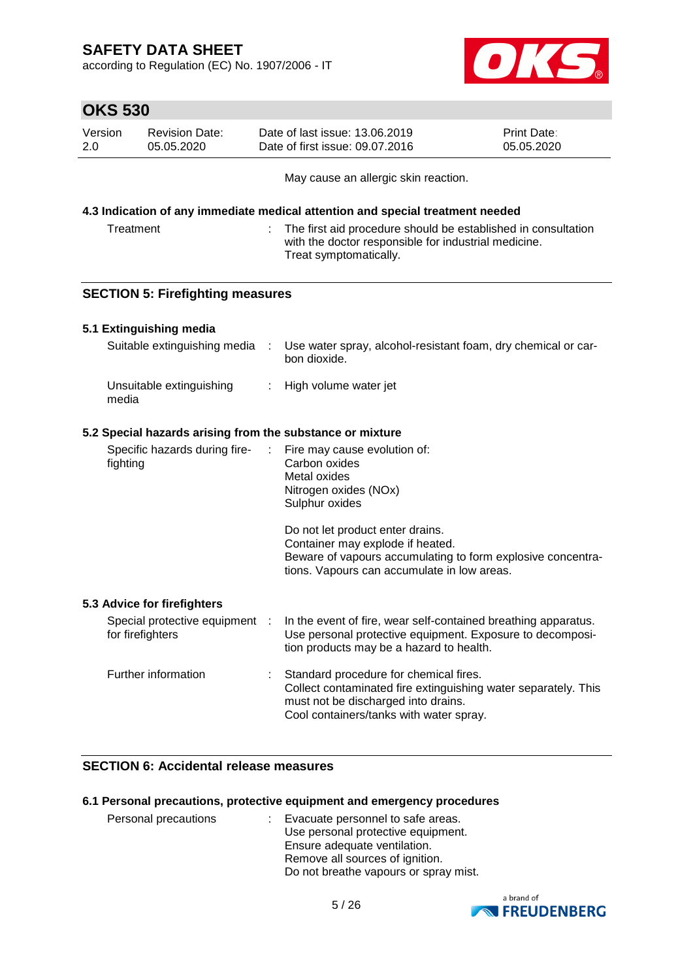according to Regulation (EC) No. 1907/2006 - IT



| <b>OKS 530</b> |  |
|----------------|--|

| Version | <b>Revision Date:</b> | Date of last issue: 13.06.2019  | <b>Print Date:</b> |
|---------|-----------------------|---------------------------------|--------------------|
| 2.0     | 05.05.2020            | Date of first issue: 09.07.2016 | 05.05.2020         |

May cause an allergic skin reaction.

#### **4.3 Indication of any immediate medical attention and special treatment needed**

| Treatment | The first aid procedure should be established in consultation<br>with the doctor responsible for industrial medicine. |
|-----------|-----------------------------------------------------------------------------------------------------------------------|
|           | Treat symptomatically.                                                                                                |

### **SECTION 5: Firefighting measures**

### **5.1 Extinguishing media**

| Suitable extinguishing media      | Use water spray, alcohol-resistant foam, dry chemical or car-<br>bon dioxide. |
|-----------------------------------|-------------------------------------------------------------------------------|
| Unsuitable extinguishing<br>media | : High volume water jet                                                       |

#### **5.2 Special hazards arising from the substance or mixture**

| Specific hazards during fire-<br>fighting | $\therefore$ Fire may cause evolution of:<br>Carbon oxides<br>Metal oxides |
|-------------------------------------------|----------------------------------------------------------------------------|
|                                           | Nitrogen oxides (NOx)                                                      |
|                                           | Sulphur oxides                                                             |

Do not let product enter drains. Container may explode if heated. Beware of vapours accumulating to form explosive concentrations. Vapours can accumulate in low areas.

#### **5.3 Advice for firefighters**

| Special protective equipment<br>for firefighters |    | In the event of fire, wear self-contained breathing apparatus.<br>Use personal protective equipment. Exposure to decomposi-<br>tion products may be a hazard to health.                    |
|--------------------------------------------------|----|--------------------------------------------------------------------------------------------------------------------------------------------------------------------------------------------|
| Further information                              | ÷. | Standard procedure for chemical fires.<br>Collect contaminated fire extinguishing water separately. This<br>must not be discharged into drains.<br>Cool containers/tanks with water spray. |

### **SECTION 6: Accidental release measures**

#### **6.1 Personal precautions, protective equipment and emergency procedures**

| Personal precautions | : Evacuate personnel to safe areas.   |  |
|----------------------|---------------------------------------|--|
|                      | Use personal protective equipment.    |  |
|                      | Ensure adequate ventilation.          |  |
|                      | Remove all sources of ignition.       |  |
|                      | Do not breathe vapours or spray mist. |  |

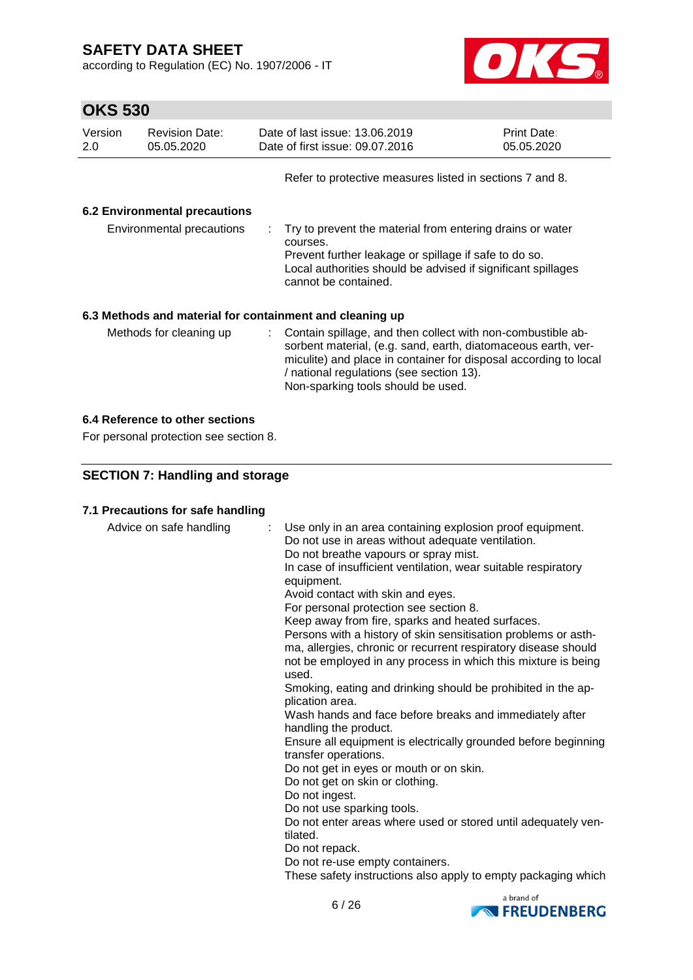according to Regulation (EC) No. 1907/2006 - IT



# **OKS 530**

| Version<br>2.0 | <b>Revision Date:</b><br>05.05.2020                      |          | Date of last issue: 13.06.2019<br>Date of first issue: 09.07.2016                                                                                                                                                                                                                    | <b>Print Date:</b><br>05.05.2020 |
|----------------|----------------------------------------------------------|----------|--------------------------------------------------------------------------------------------------------------------------------------------------------------------------------------------------------------------------------------------------------------------------------------|----------------------------------|
|                |                                                          |          | Refer to protective measures listed in sections 7 and 8.                                                                                                                                                                                                                             |                                  |
|                | <b>6.2 Environmental precautions</b>                     |          |                                                                                                                                                                                                                                                                                      |                                  |
|                | Environmental precautions                                | courses. | : Try to prevent the material from entering drains or water<br>Prevent further leakage or spillage if safe to do so.<br>Local authorities should be advised if significant spillages<br>cannot be contained.                                                                         |                                  |
|                | 6.3 Methods and material for containment and cleaning up |          |                                                                                                                                                                                                                                                                                      |                                  |
|                | Methods for cleaning up                                  |          | : Contain spillage, and then collect with non-combustible ab-<br>sorbent material, (e.g. sand, earth, diatomaceous earth, ver-<br>miculite) and place in container for disposal according to local<br>/ national regulations (see section 13).<br>Non-sparking tools should be used. |                                  |

### **6.4 Reference to other sections**

For personal protection see section 8.

### **SECTION 7: Handling and storage**

#### **7.1 Precautions for safe handling**

| Advice on safe handling | : Use only in an area containing explosion proof equipment.<br>Do not use in areas without adequate ventilation.<br>Do not breathe vapours or spray mist.<br>In case of insufficient ventilation, wear suitable respiratory<br>equipment.<br>Avoid contact with skin and eyes.<br>For personal protection see section 8.<br>Keep away from fire, sparks and heated surfaces.<br>Persons with a history of skin sensitisation problems or asth-<br>ma, allergies, chronic or recurrent respiratory disease should<br>not be employed in any process in which this mixture is being<br>used.<br>Smoking, eating and drinking should be prohibited in the ap-<br>plication area.<br>Wash hands and face before breaks and immediately after<br>handling the product.<br>Ensure all equipment is electrically grounded before beginning<br>transfer operations.<br>Do not get in eyes or mouth or on skin.<br>Do not get on skin or clothing.<br>Do not ingest.<br>Do not use sparking tools.<br>Do not enter areas where used or stored until adequately ven-<br>tilated.<br>Do not repack.<br>Do not re-use empty containers.<br>These safety instructions also apply to empty packaging which |
|-------------------------|----------------------------------------------------------------------------------------------------------------------------------------------------------------------------------------------------------------------------------------------------------------------------------------------------------------------------------------------------------------------------------------------------------------------------------------------------------------------------------------------------------------------------------------------------------------------------------------------------------------------------------------------------------------------------------------------------------------------------------------------------------------------------------------------------------------------------------------------------------------------------------------------------------------------------------------------------------------------------------------------------------------------------------------------------------------------------------------------------------------------------------------------------------------------------------------------|
|-------------------------|----------------------------------------------------------------------------------------------------------------------------------------------------------------------------------------------------------------------------------------------------------------------------------------------------------------------------------------------------------------------------------------------------------------------------------------------------------------------------------------------------------------------------------------------------------------------------------------------------------------------------------------------------------------------------------------------------------------------------------------------------------------------------------------------------------------------------------------------------------------------------------------------------------------------------------------------------------------------------------------------------------------------------------------------------------------------------------------------------------------------------------------------------------------------------------------------|

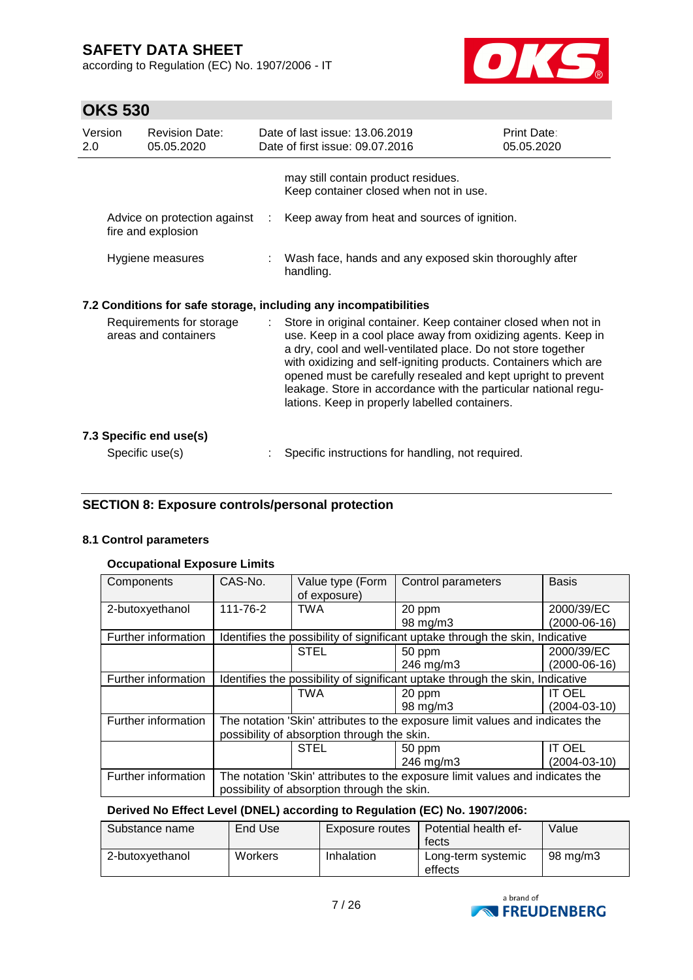according to Regulation (EC) No. 1907/2006 - IT



# **OKS 530**

| Version<br>2.0 | <b>Revision Date:</b><br>05.05.2020                | Date of last issue: 13.06.2019<br>Date of first issue: 09.07.2016                                                                                                                                                                                                                                                                                                                                                                                        | <b>Print Date:</b><br>05.05.2020 |
|----------------|----------------------------------------------------|----------------------------------------------------------------------------------------------------------------------------------------------------------------------------------------------------------------------------------------------------------------------------------------------------------------------------------------------------------------------------------------------------------------------------------------------------------|----------------------------------|
|                |                                                    | may still contain product residues.<br>Keep container closed when not in use.                                                                                                                                                                                                                                                                                                                                                                            |                                  |
|                | Advice on protection against<br>fire and explosion | Keep away from heat and sources of ignition.                                                                                                                                                                                                                                                                                                                                                                                                             |                                  |
|                | Hygiene measures                                   | Wash face, hands and any exposed skin thoroughly after<br>handling.                                                                                                                                                                                                                                                                                                                                                                                      |                                  |
|                |                                                    | 7.2 Conditions for safe storage, including any incompatibilities                                                                                                                                                                                                                                                                                                                                                                                         |                                  |
|                | Requirements for storage<br>areas and containers   | Store in original container. Keep container closed when not in<br>use. Keep in a cool place away from oxidizing agents. Keep in<br>a dry, cool and well-ventilated place. Do not store together<br>with oxidizing and self-igniting products. Containers which are<br>opened must be carefully resealed and kept upright to prevent<br>leakage. Store in accordance with the particular national regu-<br>lations. Keep in properly labelled containers. |                                  |
|                | 7.3 Specific end use(s)                            |                                                                                                                                                                                                                                                                                                                                                                                                                                                          |                                  |
|                | Specific use(s)                                    | Specific instructions for handling, not required.                                                                                                                                                                                                                                                                                                                                                                                                        |                                  |

### **SECTION 8: Exposure controls/personal protection**

### **8.1 Control parameters**

#### **Occupational Exposure Limits**

| Components          | CAS-No.                                                                       | Value type (Form<br>of exposure) | Control parameters                                                            | <b>Basis</b>       |
|---------------------|-------------------------------------------------------------------------------|----------------------------------|-------------------------------------------------------------------------------|--------------------|
| 2-butoxyethanol     | 111-76-2                                                                      | <b>TWA</b>                       | 20 ppm                                                                        | 2000/39/EC         |
|                     |                                                                               |                                  | 98 mg/m3                                                                      | (2000-06-16)       |
| Further information |                                                                               |                                  | Identifies the possibility of significant uptake through the skin, Indicative |                    |
|                     |                                                                               | <b>STEL</b>                      | 50 ppm                                                                        | 2000/39/EC         |
|                     |                                                                               |                                  | 246 mg/m3                                                                     | $(2000-06-16)$     |
| Further information | Identifies the possibility of significant uptake through the skin, Indicative |                                  |                                                                               |                    |
|                     |                                                                               | <b>TWA</b>                       | 20 ppm                                                                        | <b>IT OEL</b>      |
|                     |                                                                               |                                  | 98 mg/m3                                                                      | $(2004 - 03 - 10)$ |
| Further information | The notation 'Skin' attributes to the exposure limit values and indicates the |                                  |                                                                               |                    |
|                     | possibility of absorption through the skin.                                   |                                  |                                                                               |                    |
|                     |                                                                               | <b>STEL</b>                      | 50 ppm                                                                        | <b>IT OEL</b>      |
|                     |                                                                               |                                  | 246 mg/m3                                                                     | $(2004 - 03 - 10)$ |
| Further information | The notation 'Skin' attributes to the exposure limit values and indicates the |                                  |                                                                               |                    |
|                     | possibility of absorption through the skin.                                   |                                  |                                                                               |                    |

### **Derived No Effect Level (DNEL) according to Regulation (EC) No. 1907/2006:**

| Substance name  | End Use | Exposure routes | Potential health ef-<br>fects | Value    |
|-----------------|---------|-----------------|-------------------------------|----------|
| 2-butoxvethanol | Workers | Inhalation      | Long-term systemic<br>effects | 98 mg/m3 |

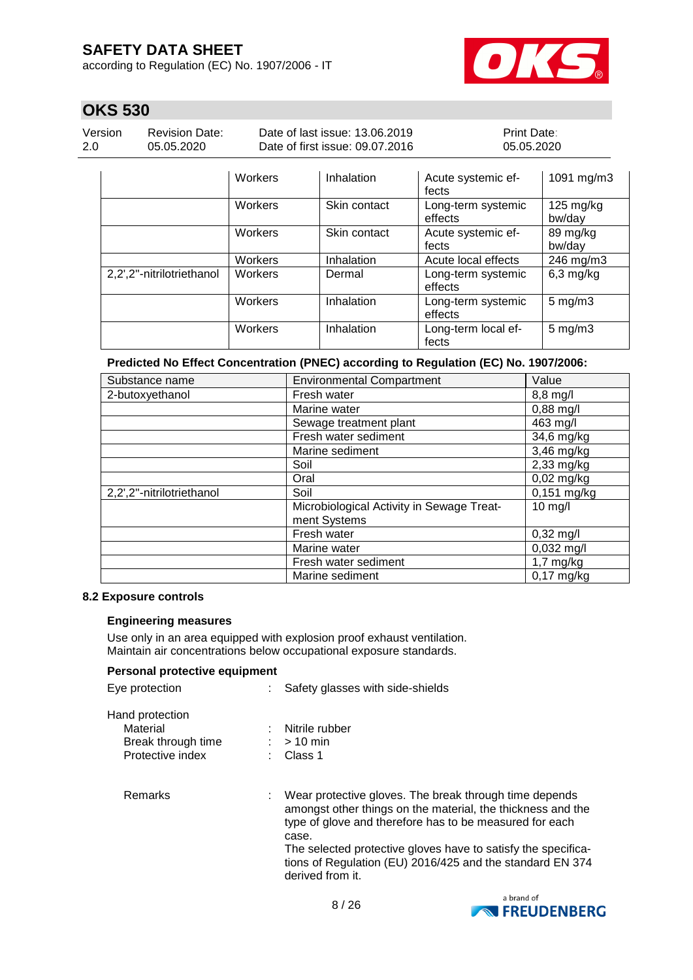according to Regulation (EC) No. 1907/2006 - IT



### **OKS 530**

| Version | <b>Revision Date:</b> |
|---------|-----------------------|
| 2.0     | 05.05.2020            |

Date of last issue: 13.06.2019 Date of first issue: 09.07.2016 Print Date: 05.05.2020

|                           | <b>Workers</b> | Inhalation   | Acute systemic ef-<br>fects   | 1091 mg/m3                    |
|---------------------------|----------------|--------------|-------------------------------|-------------------------------|
|                           | Workers        | Skin contact | Long-term systemic<br>effects | $125 \text{ mg/kg}$<br>bw/day |
|                           | Workers        | Skin contact | Acute systemic ef-<br>fects   | 89 mg/kg<br>bw/day            |
|                           | Workers        | Inhalation   | Acute local effects           | 246 mg/m3                     |
| 2,2',2"-nitrilotriethanol | Workers        | Dermal       | Long-term systemic<br>effects | $6,3$ mg/kg                   |
|                           | Workers        | Inhalation   | Long-term systemic<br>effects | $5$ mg/m $3$                  |
|                           | Workers        | Inhalation   | Long-term local ef-<br>fects  | $5 \text{ mg/m}$ 3            |

**Predicted No Effect Concentration (PNEC) according to Regulation (EC) No. 1907/2006:**

| Substance name            | <b>Environmental Compartment</b>                          | Value               |
|---------------------------|-----------------------------------------------------------|---------------------|
| 2-butoxyethanol           | Fresh water                                               | 8,8 mg/l            |
|                           | Marine water                                              | $0,88$ mg/l         |
|                           | Sewage treatment plant                                    | 463 mg/l            |
|                           | Fresh water sediment                                      | 34,6 mg/kg          |
|                           | Marine sediment                                           | 3,46 mg/kg          |
|                           | Soil                                                      | $2,33$ mg/kg        |
|                           | Oral                                                      | $0,02$ mg/kg        |
| 2,2',2"-nitrilotriethanol | Soil                                                      | 0,151 mg/kg         |
|                           | Microbiological Activity in Sewage Treat-<br>ment Systems | $10$ mg/l           |
|                           | Fresh water                                               | $0,32 \text{ mg/l}$ |
|                           | Marine water                                              | $0,032$ mg/l        |
|                           | Fresh water sediment                                      | $1,7$ mg/kg         |
|                           | Marine sediment                                           | $0,17$ mg/kg        |

#### **8.2 Exposure controls**

#### **Engineering measures**

Use only in an area equipped with explosion proof exhaust ventilation. Maintain air concentrations below occupational exposure standards.

### **Personal protective equipment**

| Eye protection                                    | : Safety glasses with side-shields                                                                                                                                                                                                                         |  |
|---------------------------------------------------|------------------------------------------------------------------------------------------------------------------------------------------------------------------------------------------------------------------------------------------------------------|--|
| Hand protection<br>Material<br>Break through time | Nitrile rubber<br>$:$ > 10 min                                                                                                                                                                                                                             |  |
| Protective index                                  | : Class 1                                                                                                                                                                                                                                                  |  |
| Remarks                                           | Wear protective gloves. The break through time depends<br>amongst other things on the material, the thickness and the<br>type of glove and therefore has to be measured for each<br>case.<br>The selected protective gloves have to satisfy the specifica- |  |

o satisfy the specifications of Regulation (EU) 2016/425 and the standard EN 374 derived from it.

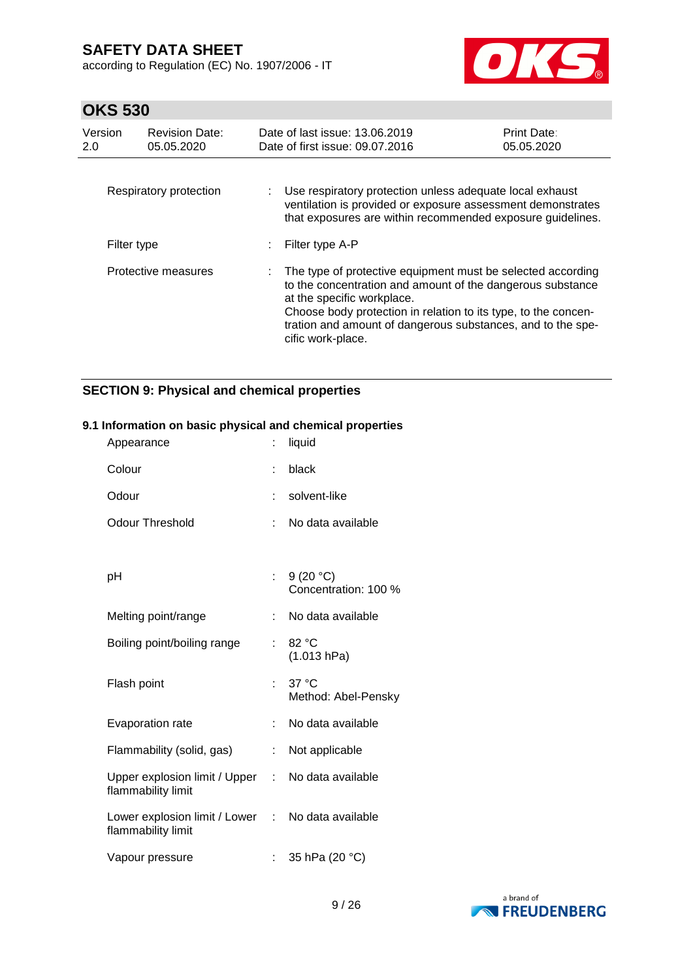according to Regulation (EC) No. 1907/2006 - IT



### **OKS 530**

| Version<br>2.0 | <b>Revision Date:</b><br>05.05.2020 | Date of last issue: 13.06.2019<br>Date of first issue: 09.07.2016                                                                                                                                                                                                                                             | <b>Print Date:</b><br>05.05.2020 |
|----------------|-------------------------------------|---------------------------------------------------------------------------------------------------------------------------------------------------------------------------------------------------------------------------------------------------------------------------------------------------------------|----------------------------------|
|                | Respiratory protection              | : Use respiratory protection unless adequate local exhaust<br>ventilation is provided or exposure assessment demonstrates<br>that exposures are within recommended exposure guidelines.                                                                                                                       |                                  |
| Filter type    |                                     | Filter type A-P                                                                                                                                                                                                                                                                                               |                                  |
|                | Protective measures                 | The type of protective equipment must be selected according<br>to the concentration and amount of the dangerous substance<br>at the specific workplace.<br>Choose body protection in relation to its type, to the concen-<br>tration and amount of dangerous substances, and to the spe-<br>cific work-place. |                                  |

### **SECTION 9: Physical and chemical properties**

# Appearance : liquid Colour : black Odour : solvent-like Odour Threshold : No data available pH : 9 (20 °C) Concentration: 100 % Melting point/range : No data available Boiling point/boiling range : 82 °C (1.013 hPa) Flash point : 37 °C Method: Abel-Pensky Evaporation rate : No data available Flammability (solid, gas) : Not applicable Upper explosion limit / Upper flammability limit : No data available Lower explosion limit / Lower : No data available flammability limit Vapour pressure : 35 hPa (20 °C)

#### **9.1 Information on basic physical and chemical properties**

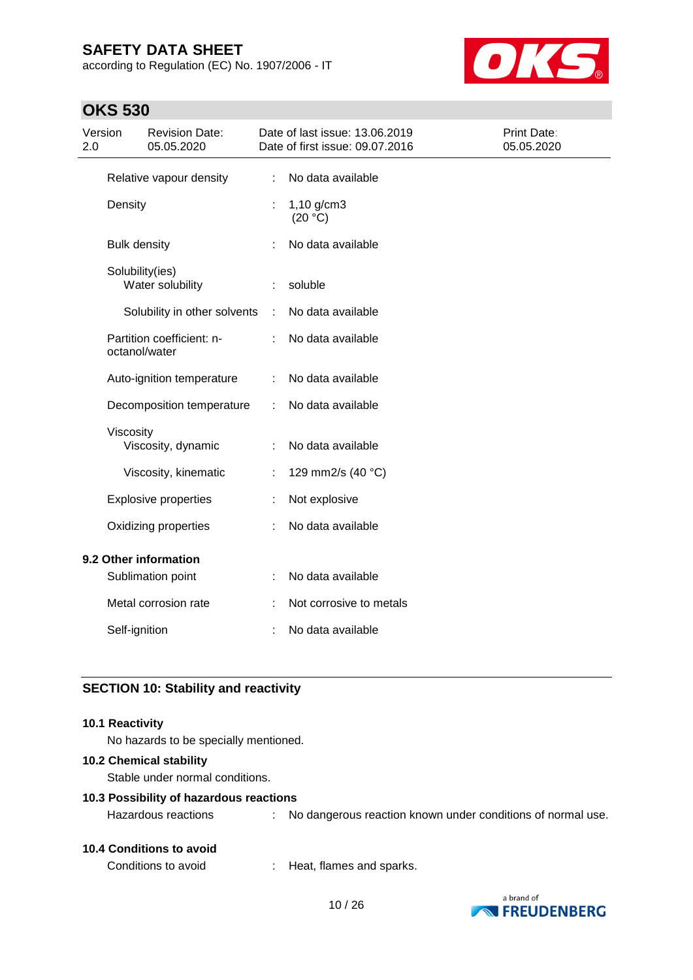according to Regulation (EC) No. 1907/2006 - IT



### **OKS 530**

| Version<br>2.0 |                     | <b>Revision Date:</b><br>05.05.2020 |   | Date of last issue: 13.06.2019<br>Date of first issue: 09.07.2016 | Print Date:<br>05.05.2020 |
|----------------|---------------------|-------------------------------------|---|-------------------------------------------------------------------|---------------------------|
|                |                     | Relative vapour density             | ÷ | No data available                                                 |                           |
|                | Density             |                                     |   | $1,10$ g/cm3<br>(20 °C)                                           |                           |
|                | <b>Bulk density</b> |                                     |   | No data available                                                 |                           |
|                | Solubility(ies)     | Water solubility                    | ÷ | soluble                                                           |                           |
|                |                     | Solubility in other solvents        | ÷ | No data available                                                 |                           |
|                | octanol/water       | Partition coefficient: n-           |   | No data available                                                 |                           |
|                |                     | Auto-ignition temperature           |   | No data available                                                 |                           |
|                |                     | Decomposition temperature           | ÷ | No data available                                                 |                           |
|                | Viscosity           | Viscosity, dynamic                  |   | No data available                                                 |                           |
|                |                     | Viscosity, kinematic                |   | 129 mm2/s (40 °C)                                                 |                           |
|                |                     | <b>Explosive properties</b>         |   | Not explosive                                                     |                           |
|                |                     | Oxidizing properties                |   | No data available                                                 |                           |
|                |                     | 9.2 Other information               |   |                                                                   |                           |
|                |                     | Sublimation point                   |   | No data available                                                 |                           |
|                |                     | Metal corrosion rate                |   | Not corrosive to metals                                           |                           |
|                | Self-ignition       |                                     |   | No data available                                                 |                           |

### **SECTION 10: Stability and reactivity**

#### **10.1 Reactivity**

No hazards to be specially mentioned.

#### **10.2 Chemical stability**

Stable under normal conditions.

#### **10.3 Possibility of hazardous reactions**

Hazardous reactions : No dangerous reaction known under conditions of normal use.

### **10.4 Conditions to avoid**

Conditions to avoid : Heat, flames and sparks.

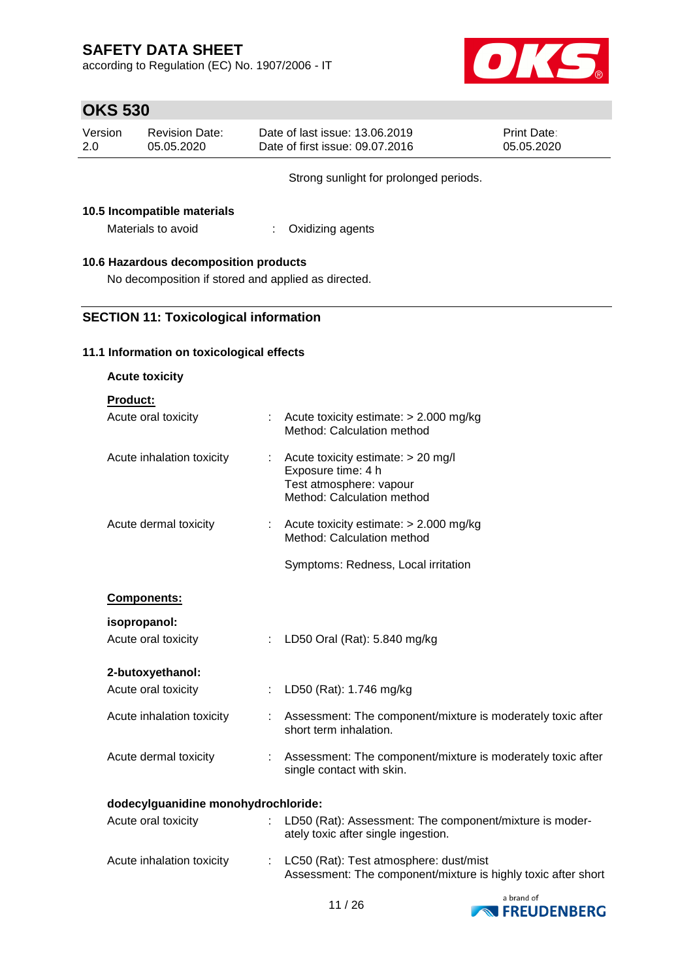according to Regulation (EC) No. 1907/2006 - IT



### **OKS 530**

| Version | Revision Date: | Date of last issue: 13.06.2019  | <b>Print Date:</b> |
|---------|----------------|---------------------------------|--------------------|
| 2.0     | 05.05.2020     | Date of first issue: 09.07.2016 | 05.05.2020         |

Strong sunlight for prolonged periods.

### **10.5 Incompatible materials**

Materials to avoid : Oxidizing agents

### **10.6 Hazardous decomposition products**

No decomposition if stored and applied as directed.

### **SECTION 11: Toxicological information**

#### **11.1 Information on toxicological effects**

| <b>Acute toxicity</b>               |   |                                                                                                                   |  |  |
|-------------------------------------|---|-------------------------------------------------------------------------------------------------------------------|--|--|
| Product:                            |   |                                                                                                                   |  |  |
| Acute oral toxicity                 |   | Acute toxicity estimate: > 2.000 mg/kg<br>Method: Calculation method                                              |  |  |
| Acute inhalation toxicity           | ÷ | Acute toxicity estimate: > 20 mg/l<br>Exposure time: 4 h<br>Test atmosphere: vapour<br>Method: Calculation method |  |  |
| Acute dermal toxicity               | ÷ | Acute toxicity estimate: > 2.000 mg/kg<br>Method: Calculation method                                              |  |  |
|                                     |   | Symptoms: Redness, Local irritation                                                                               |  |  |
| Components:                         |   |                                                                                                                   |  |  |
| isopropanol:                        |   |                                                                                                                   |  |  |
| Acute oral toxicity                 | ÷ | LD50 Oral (Rat): 5.840 mg/kg                                                                                      |  |  |
| 2-butoxyethanol:                    |   |                                                                                                                   |  |  |
| Acute oral toxicity                 | ÷ | LD50 (Rat): 1.746 mg/kg                                                                                           |  |  |
| Acute inhalation toxicity           | ÷ | Assessment: The component/mixture is moderately toxic after<br>short term inhalation.                             |  |  |
| Acute dermal toxicity               |   | Assessment: The component/mixture is moderately toxic after<br>single contact with skin.                          |  |  |
| dodecylguanidine monohydrochloride: |   |                                                                                                                   |  |  |
| Acute oral toxicity                 |   | LD50 (Rat): Assessment: The component/mixture is moder-<br>ately toxic after single ingestion.                    |  |  |
| Acute inhalation toxicity           | ÷ | LC50 (Rat): Test atmosphere: dust/mist<br>Assessment: The component/mixture is highly toxic after short           |  |  |

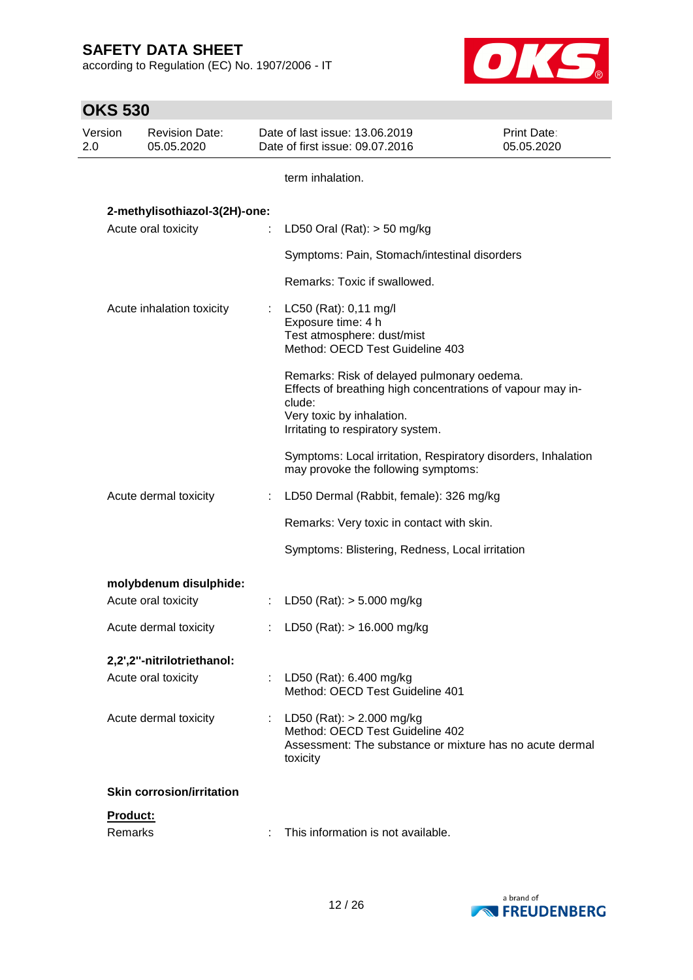according to Regulation (EC) No. 1907/2006 - IT



| <b>OKS 530</b> |                                     |   |                                                                                                                                                                                      |                           |
|----------------|-------------------------------------|---|--------------------------------------------------------------------------------------------------------------------------------------------------------------------------------------|---------------------------|
| Version<br>2.0 | <b>Revision Date:</b><br>05.05.2020 |   | Date of last issue: 13.06.2019<br>Date of first issue: 09.07.2016                                                                                                                    | Print Date:<br>05.05.2020 |
|                |                                     |   | term inhalation.                                                                                                                                                                     |                           |
|                | 2-methylisothiazol-3(2H)-one:       |   |                                                                                                                                                                                      |                           |
|                | Acute oral toxicity                 | ÷ | LD50 Oral (Rat): $>$ 50 mg/kg                                                                                                                                                        |                           |
|                |                                     |   | Symptoms: Pain, Stomach/intestinal disorders                                                                                                                                         |                           |
|                |                                     |   | Remarks: Toxic if swallowed.                                                                                                                                                         |                           |
|                | Acute inhalation toxicity           |   | : $LC50$ (Rat): 0,11 mg/l<br>Exposure time: 4 h<br>Test atmosphere: dust/mist<br>Method: OECD Test Guideline 403                                                                     |                           |
|                |                                     |   | Remarks: Risk of delayed pulmonary oedema.<br>Effects of breathing high concentrations of vapour may in-<br>clude:<br>Very toxic by inhalation.<br>Irritating to respiratory system. |                           |
|                |                                     |   | Symptoms: Local irritation, Respiratory disorders, Inhalation<br>may provoke the following symptoms:                                                                                 |                           |
|                | Acute dermal toxicity               |   | LD50 Dermal (Rabbit, female): 326 mg/kg                                                                                                                                              |                           |
|                |                                     |   | Remarks: Very toxic in contact with skin.                                                                                                                                            |                           |
|                |                                     |   | Symptoms: Blistering, Redness, Local irritation                                                                                                                                      |                           |
|                | molybdenum disulphide:              |   |                                                                                                                                                                                      |                           |
|                | Acute oral toxicity                 |   | LD50 (Rat): $> 5.000$ mg/kg                                                                                                                                                          |                           |
|                | Acute dermal toxicity               |   | LD50 (Rat): $> 16.000$ mg/kg                                                                                                                                                         |                           |
|                | 2,2',2"-nitrilotriethanol:          |   |                                                                                                                                                                                      |                           |
|                | Acute oral toxicity                 |   | LD50 (Rat): 6.400 mg/kg<br>Method: OECD Test Guideline 401                                                                                                                           |                           |
|                | Acute dermal toxicity               |   | LD50 (Rat): > 2.000 mg/kg<br>Method: OECD Test Guideline 402<br>Assessment: The substance or mixture has no acute dermal<br>toxicity                                                 |                           |
|                | <b>Skin corrosion/irritation</b>    |   |                                                                                                                                                                                      |                           |
|                | Product:                            |   |                                                                                                                                                                                      |                           |
|                | Remarks                             |   | This information is not available.                                                                                                                                                   |                           |

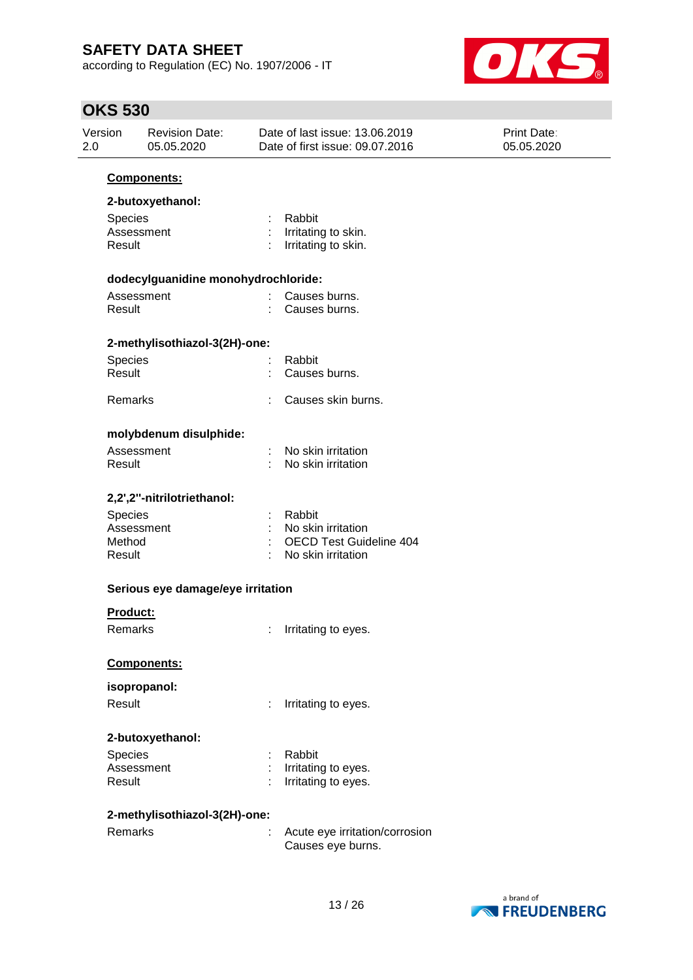according to Regulation (EC) No. 1907/2006 - IT



| Version<br>2.0 |                                               | <b>Revision Date:</b><br>05.05.2020 |  | Date of last issue: 13.06.2019<br>Date of first issue: 09.07.2016 | Print Date:<br>05.05.2020 |
|----------------|-----------------------------------------------|-------------------------------------|--|-------------------------------------------------------------------|---------------------------|
|                |                                               | Components:                         |  |                                                                   |                           |
|                |                                               | 2-butoxyethanol:                    |  |                                                                   |                           |
|                | Species                                       |                                     |  | Rabbit                                                            |                           |
|                | Assessment                                    |                                     |  | : Irritating to skin.                                             |                           |
|                | Result                                        |                                     |  | Irritating to skin.                                               |                           |
|                |                                               | dodecylguanidine monohydrochloride: |  |                                                                   |                           |
|                | Assessment                                    |                                     |  | Causes burns.                                                     |                           |
|                | Result                                        |                                     |  | Causes burns.                                                     |                           |
|                |                                               | 2-methylisothiazol-3(2H)-one:       |  |                                                                   |                           |
|                | Species                                       |                                     |  | Rabbit                                                            |                           |
|                | Result                                        |                                     |  | Causes burns.                                                     |                           |
|                | Remarks                                       |                                     |  | Causes skin burns.                                                |                           |
|                |                                               | molybdenum disulphide:              |  |                                                                   |                           |
|                | Assessment                                    |                                     |  | No skin irritation                                                |                           |
|                | Result                                        |                                     |  | No skin irritation                                                |                           |
|                |                                               | 2,2',2"-nitrilotriethanol:          |  |                                                                   |                           |
|                | Species                                       |                                     |  | : Rabbit                                                          |                           |
|                | Assessment                                    |                                     |  | No skin irritation                                                |                           |
|                | Method                                        |                                     |  | <b>OECD Test Guideline 404</b>                                    |                           |
|                | Result                                        |                                     |  | No skin irritation                                                |                           |
|                | Serious eye damage/eye irritation<br>Product: |                                     |  |                                                                   |                           |
|                |                                               |                                     |  |                                                                   |                           |
|                | Remarks                                       |                                     |  | Irritating to eyes.                                               |                           |
|                |                                               | Components:                         |  |                                                                   |                           |
|                | isopropanol:                                  |                                     |  |                                                                   |                           |
|                | Result                                        |                                     |  | Irritating to eyes.                                               |                           |
|                |                                               |                                     |  |                                                                   |                           |
|                |                                               | 2-butoxyethanol:                    |  |                                                                   |                           |
|                | Species                                       |                                     |  | Rabbit                                                            |                           |
|                | Assessment<br>Result                          |                                     |  | Irritating to eyes.<br>Irritating to eyes.                        |                           |
|                |                                               |                                     |  |                                                                   |                           |
|                |                                               | 2-methylisothiazol-3(2H)-one:       |  |                                                                   |                           |
|                | Remarks                                       |                                     |  | Acute eye irritation/corrosion                                    |                           |
|                |                                               |                                     |  | Causes eye burns.                                                 |                           |

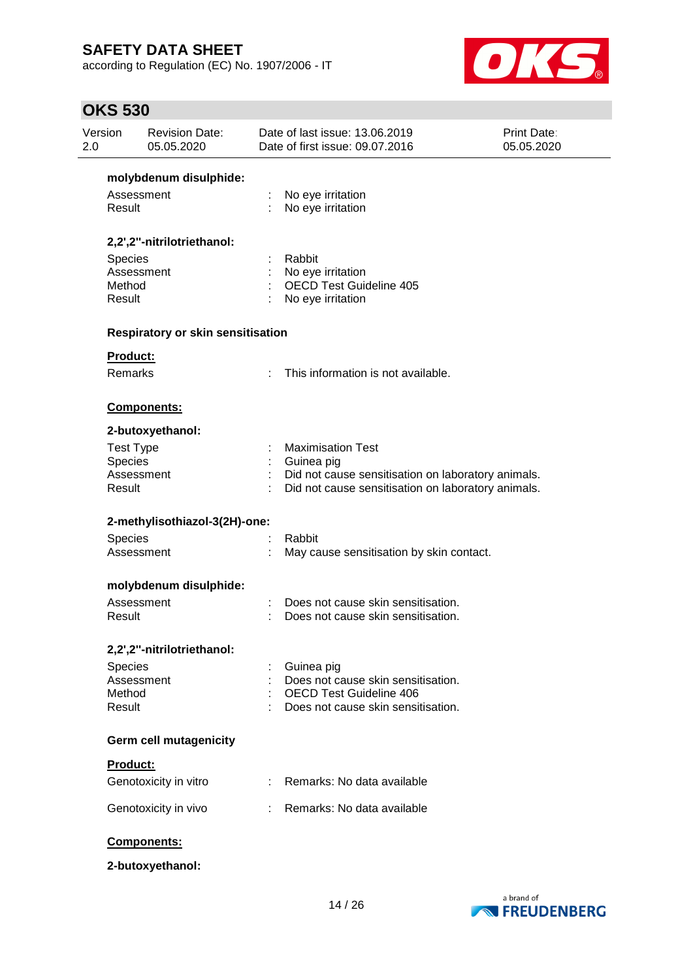according to Regulation (EC) No. 1907/2006 - IT



| Version<br>2.0 |                       | <b>Revision Date:</b><br>05.05.2020 | Date of last issue: 13.06.2019<br>Print Date:<br>Date of first issue: 09.07.2016<br>05.05.2020 |                                                                      |  |
|----------------|-----------------------|-------------------------------------|------------------------------------------------------------------------------------------------|----------------------------------------------------------------------|--|
|                |                       | molybdenum disulphide:              |                                                                                                |                                                                      |  |
|                | Assessment<br>Result  |                                     |                                                                                                | No eye irritation<br>No eye irritation                               |  |
|                |                       | 2,2',2"-nitrilotriethanol:          |                                                                                                |                                                                      |  |
|                | Species<br>Assessment |                                     |                                                                                                | Rabbit                                                               |  |
|                | Method                |                                     |                                                                                                | No eye irritation<br><b>OECD Test Guideline 405</b>                  |  |
|                | Result                |                                     |                                                                                                | No eye irritation                                                    |  |
|                |                       | Respiratory or skin sensitisation   |                                                                                                |                                                                      |  |
|                | <b>Product:</b>       |                                     |                                                                                                |                                                                      |  |
|                | Remarks               |                                     | ÷                                                                                              | This information is not available.                                   |  |
|                |                       | Components:                         |                                                                                                |                                                                      |  |
|                |                       | 2-butoxyethanol:                    |                                                                                                |                                                                      |  |
|                | <b>Test Type</b>      |                                     |                                                                                                | <b>Maximisation Test</b>                                             |  |
|                | Species<br>Assessment |                                     |                                                                                                | Guinea pig<br>Did not cause sensitisation on laboratory animals.     |  |
|                | Result                |                                     |                                                                                                | Did not cause sensitisation on laboratory animals.                   |  |
|                |                       | 2-methylisothiazol-3(2H)-one:       |                                                                                                |                                                                      |  |
|                | Species<br>Assessment |                                     |                                                                                                | Rabbit                                                               |  |
|                |                       |                                     |                                                                                                | May cause sensitisation by skin contact.                             |  |
|                |                       | molybdenum disulphide:              |                                                                                                |                                                                      |  |
|                | Assessment            |                                     |                                                                                                | Does not cause skin sensitisation.                                   |  |
|                | Result                |                                     |                                                                                                | Does not cause skin sensitisation.                                   |  |
|                |                       | 2,2',2"-nitrilotriethanol:          |                                                                                                |                                                                      |  |
|                | Species               |                                     |                                                                                                | Guinea pig                                                           |  |
|                | Assessment<br>Method  |                                     |                                                                                                | Does not cause skin sensitisation.<br><b>OECD Test Guideline 406</b> |  |
|                | Result                |                                     |                                                                                                | Does not cause skin sensitisation.                                   |  |
|                |                       | <b>Germ cell mutagenicity</b>       |                                                                                                |                                                                      |  |
|                | <b>Product:</b>       |                                     |                                                                                                |                                                                      |  |
|                |                       | Genotoxicity in vitro               |                                                                                                | Remarks: No data available                                           |  |
|                |                       | Genotoxicity in vivo                |                                                                                                | Remarks: No data available                                           |  |
|                |                       | Components:                         |                                                                                                |                                                                      |  |
|                |                       | 2-butoxyethanol:                    |                                                                                                |                                                                      |  |

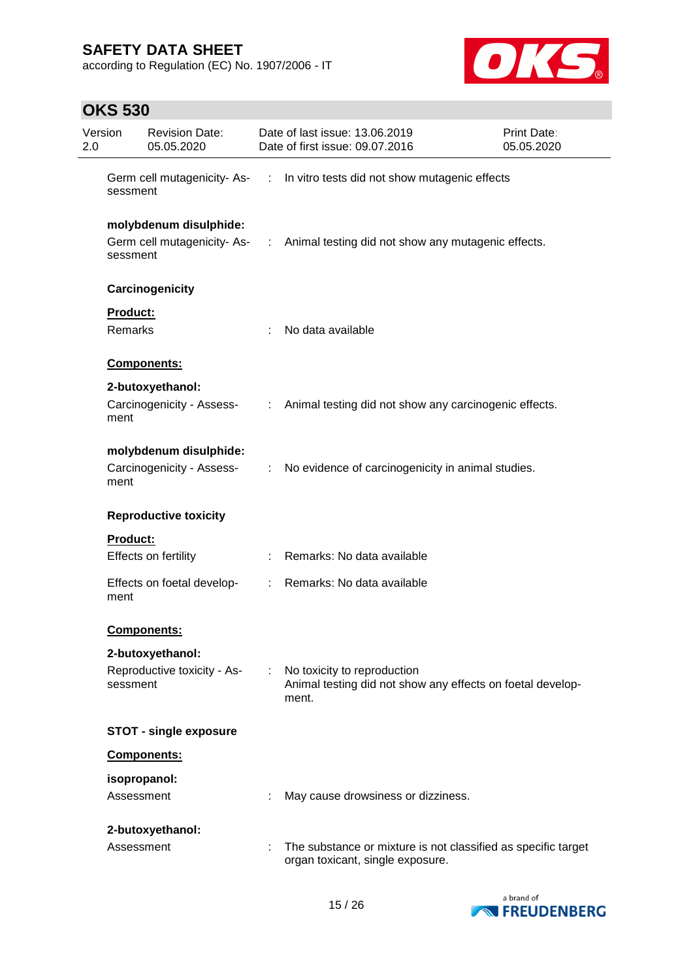according to Regulation (EC) No. 1907/2006 - IT



| Version<br>2.0 |                            | <b>Revision Date:</b><br>05.05.2020                 |    | Date of last issue: 13.06.2019<br>Date of first issue: 09.07.2016                                  | Print Date:<br>05.05.2020 |
|----------------|----------------------------|-----------------------------------------------------|----|----------------------------------------------------------------------------------------------------|---------------------------|
|                | sessment                   |                                                     |    | Germ cell mutagenicity-As- : In vitro tests did not show mutagenic effects                         |                           |
|                | sessment                   | molybdenum disulphide:                              |    | Germ cell mutagenicity-As- : Animal testing did not show any mutagenic effects.                    |                           |
|                |                            | Carcinogenicity                                     |    |                                                                                                    |                           |
|                | <b>Product:</b><br>Remarks |                                                     |    | No data available                                                                                  |                           |
|                |                            | Components:                                         |    |                                                                                                    |                           |
|                | ment                       | 2-butoxyethanol:<br>Carcinogenicity - Assess-       |    | : Animal testing did not show any carcinogenic effects.                                            |                           |
|                | ment                       | molybdenum disulphide:<br>Carcinogenicity - Assess- |    | : No evidence of carcinogenicity in animal studies.                                                |                           |
|                |                            | <b>Reproductive toxicity</b>                        |    |                                                                                                    |                           |
|                | <b>Product:</b>            | Effects on fertility                                |    | Remarks: No data available                                                                         |                           |
|                | ment                       | Effects on foetal develop-                          |    | : Remarks: No data available                                                                       |                           |
|                |                            | <b>Components:</b>                                  |    |                                                                                                    |                           |
|                |                            | 2-butoxyethanol:                                    |    |                                                                                                    |                           |
|                | sessment                   | Reproductive toxicity - As-                         | t. | No toxicity to reproduction<br>Animal testing did not show any effects on foetal develop-<br>ment. |                           |
|                |                            | <b>STOT - single exposure</b>                       |    |                                                                                                    |                           |
|                |                            | Components:                                         |    |                                                                                                    |                           |
|                | isopropanol:<br>Assessment |                                                     |    | May cause drowsiness or dizziness.                                                                 |                           |
|                | Assessment                 | 2-butoxyethanol:                                    |    | The substance or mixture is not classified as specific target<br>organ toxicant, single exposure.  |                           |

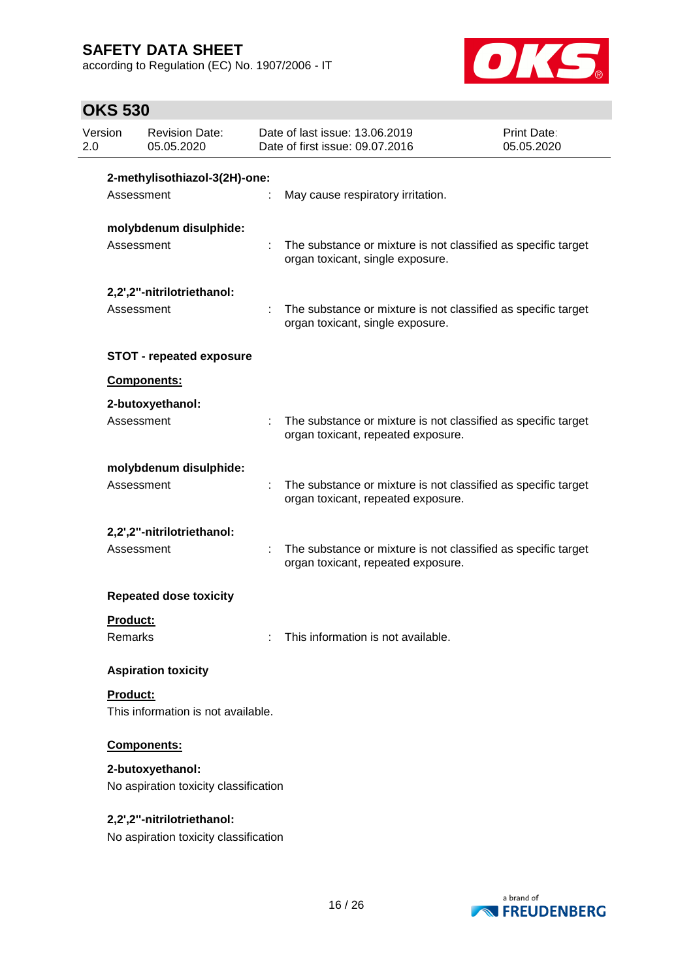according to Regulation (EC) No. 1907/2006 - IT



| Version<br>2.0 |                 | <b>Revision Date:</b><br>05.05.2020                                 | Date of last issue: 13.06.2019<br>Date of first issue: 09.07.2016                                   | Print Date:<br>05.05.2020 |
|----------------|-----------------|---------------------------------------------------------------------|-----------------------------------------------------------------------------------------------------|---------------------------|
|                |                 | 2-methylisothiazol-3(2H)-one:                                       |                                                                                                     |                           |
|                | Assessment      |                                                                     | May cause respiratory irritation.                                                                   |                           |
|                | Assessment      | molybdenum disulphide:                                              | The substance or mixture is not classified as specific target<br>organ toxicant, single exposure.   |                           |
|                | Assessment      | 2,2',2"-nitrilotriethanol:                                          | The substance or mixture is not classified as specific target<br>organ toxicant, single exposure.   |                           |
|                |                 | <b>STOT - repeated exposure</b>                                     |                                                                                                     |                           |
|                |                 | Components:                                                         |                                                                                                     |                           |
|                |                 | 2-butoxyethanol:                                                    |                                                                                                     |                           |
|                | Assessment      |                                                                     | The substance or mixture is not classified as specific target<br>organ toxicant, repeated exposure. |                           |
|                |                 | molybdenum disulphide:                                              |                                                                                                     |                           |
|                | Assessment      |                                                                     | The substance or mixture is not classified as specific target<br>organ toxicant, repeated exposure. |                           |
|                |                 | 2,2',2"-nitrilotriethanol:                                          |                                                                                                     |                           |
|                | Assessment      |                                                                     | The substance or mixture is not classified as specific target<br>organ toxicant, repeated exposure. |                           |
|                |                 | <b>Repeated dose toxicity</b>                                       |                                                                                                     |                           |
|                | Product:        |                                                                     |                                                                                                     |                           |
|                | Remarks         |                                                                     | This information is not available.                                                                  |                           |
|                |                 | <b>Aspiration toxicity</b>                                          |                                                                                                     |                           |
|                | <b>Product:</b> |                                                                     |                                                                                                     |                           |
|                |                 | This information is not available.                                  |                                                                                                     |                           |
|                |                 | Components:                                                         |                                                                                                     |                           |
|                |                 | 2-butoxyethanol:<br>No aspiration toxicity classification           |                                                                                                     |                           |
|                |                 | 2,2',2"-nitrilotriethanol:<br>No aspiration toxicity classification |                                                                                                     |                           |

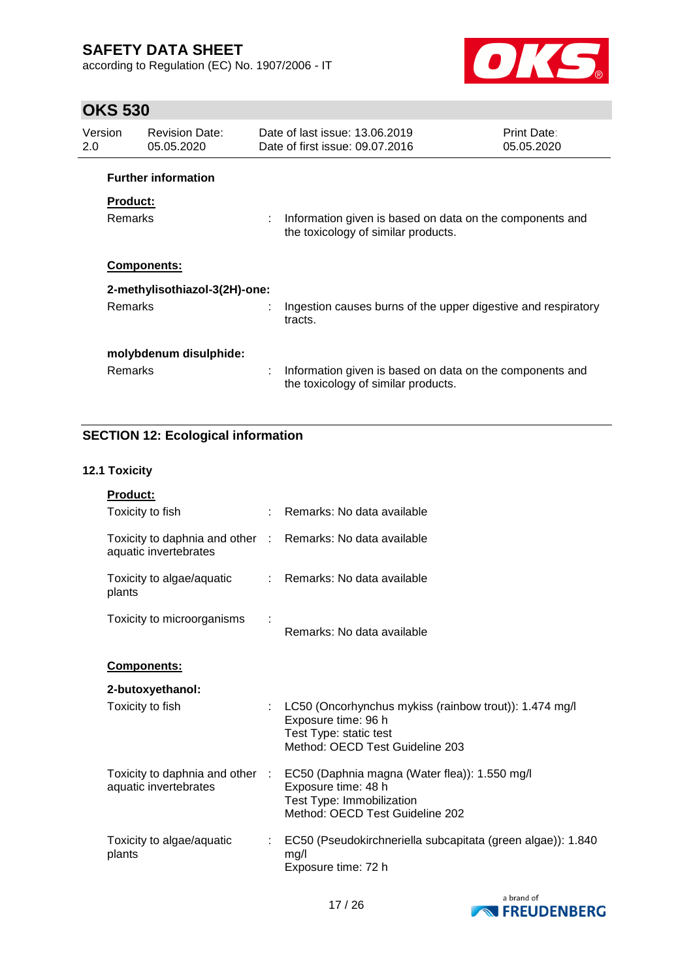according to Regulation (EC) No. 1907/2006 - IT



# **OKS 530**

| Version<br>2.0 | <b>Revision Date:</b><br>05.05.2020 | Date of last issue: 13.06.2019<br><b>Print Date:</b><br>Date of first issue: 09.07.2016<br>05.05.2020 |                                                                                                 |  |
|----------------|-------------------------------------|-------------------------------------------------------------------------------------------------------|-------------------------------------------------------------------------------------------------|--|
|                | <b>Further information</b>          |                                                                                                       |                                                                                                 |  |
|                | <b>Product:</b>                     |                                                                                                       |                                                                                                 |  |
|                | <b>Remarks</b>                      |                                                                                                       | Information given is based on data on the components and<br>the toxicology of similar products. |  |
|                | <b>Components:</b>                  |                                                                                                       |                                                                                                 |  |
|                | 2-methylisothiazol-3(2H)-one:       |                                                                                                       |                                                                                                 |  |
|                | <b>Remarks</b>                      |                                                                                                       | Ingestion causes burns of the upper digestive and respiratory<br>tracts.                        |  |
|                | molybdenum disulphide:              |                                                                                                       |                                                                                                 |  |
|                | <b>Remarks</b>                      |                                                                                                       | Information given is based on data on the components and<br>the toxicology of similar products. |  |

### **SECTION 12: Ecological information**

### **12.1 Toxicity**

| Product:                                                                            |                                                                                                                                                                      |
|-------------------------------------------------------------------------------------|----------------------------------------------------------------------------------------------------------------------------------------------------------------------|
| Toxicity to fish                                                                    | : Remarks: No data available                                                                                                                                         |
| Toxicity to daphnia and other : Remarks: No data available<br>aquatic invertebrates |                                                                                                                                                                      |
| Toxicity to algae/aquatic<br>plants                                                 | : Remarks: No data available                                                                                                                                         |
| Toxicity to microorganisms                                                          | Remarks: No data available                                                                                                                                           |
| Components:                                                                         |                                                                                                                                                                      |
| 2-butoxyethanol:                                                                    |                                                                                                                                                                      |
| Toxicity to fish                                                                    | : LC50 (Oncorhynchus mykiss (rainbow trout)): 1.474 mg/l<br>Exposure time: 96 h<br>Test Type: static test<br>Method: OECD Test Guideline 203                         |
| aquatic invertebrates                                                               | Toxicity to daphnia and other : EC50 (Daphnia magna (Water flea)): 1.550 mg/l<br>Exposure time: 48 h<br>Test Type: Immobilization<br>Method: OECD Test Guideline 202 |
| Toxicity to algae/aquatic<br>plants                                                 | : EC50 (Pseudokirchneriella subcapitata (green algae)): 1.840<br>mg/l<br>Exposure time: 72 h                                                                         |

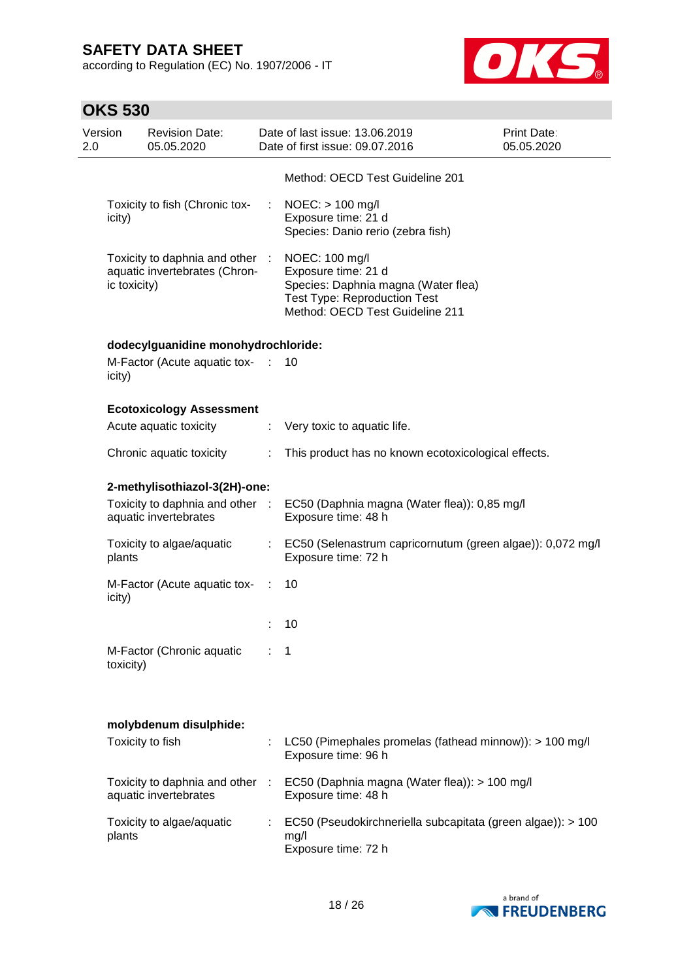according to Regulation (EC) No. 1907/2006 - IT



| Version<br>2.0 |              | <b>Revision Date:</b><br>05.05.2020                            |           | Date of last issue: 13.06.2019<br>Date of first issue: 09.07.2016                                                                                      | Print Date:<br>05.05.2020 |
|----------------|--------------|----------------------------------------------------------------|-----------|--------------------------------------------------------------------------------------------------------------------------------------------------------|---------------------------|
|                |              |                                                                |           | Method: OECD Test Guideline 201                                                                                                                        |                           |
|                | icity)       | Toxicity to fish (Chronic tox-                                 | ÷         | $NOEC:$ > 100 mg/l<br>Exposure time: 21 d<br>Species: Danio rerio (zebra fish)                                                                         |                           |
|                | ic toxicity) | Toxicity to daphnia and other<br>aquatic invertebrates (Chron- | $\sim 10$ | NOEC: 100 mg/l<br>Exposure time: 21 d<br>Species: Daphnia magna (Water flea)<br><b>Test Type: Reproduction Test</b><br>Method: OECD Test Guideline 211 |                           |
|                |              | dodecylguanidine monohydrochloride:                            |           |                                                                                                                                                        |                           |
|                | icity)       | M-Factor (Acute aquatic tox-                                   | ÷.        | 10                                                                                                                                                     |                           |
|                |              | <b>Ecotoxicology Assessment</b>                                |           |                                                                                                                                                        |                           |
|                |              | Acute aquatic toxicity                                         | ÷         | Very toxic to aquatic life.                                                                                                                            |                           |
|                |              | Chronic aquatic toxicity                                       | ÷         | This product has no known ecotoxicological effects.                                                                                                    |                           |
|                |              | 2-methylisothiazol-3(2H)-one:                                  |           |                                                                                                                                                        |                           |
|                |              | Toxicity to daphnia and other :<br>aquatic invertebrates       |           | EC50 (Daphnia magna (Water flea)): 0,85 mg/l<br>Exposure time: 48 h                                                                                    |                           |
|                | plants       | Toxicity to algae/aquatic                                      |           | : EC50 (Selenastrum capricornutum (green algae)): 0,072 mg/l<br>Exposure time: 72 h                                                                    |                           |
|                | icity)       | M-Factor (Acute aquatic tox-                                   | ÷         | 10                                                                                                                                                     |                           |
|                |              |                                                                |           | 10                                                                                                                                                     |                           |
|                | toxicity)    | M-Factor (Chronic aquatic                                      |           | 1                                                                                                                                                      |                           |
|                |              | molybdenum disulphide:                                         |           |                                                                                                                                                        |                           |
|                |              | Toxicity to fish                                               |           | LC50 (Pimephales promelas (fathead minnow)): > 100 mg/l<br>Exposure time: 96 h                                                                         |                           |
|                |              | Toxicity to daphnia and other<br>aquatic invertebrates         | ÷         | EC50 (Daphnia magna (Water flea)): > 100 mg/l<br>Exposure time: 48 h                                                                                   |                           |
|                | plants       | Toxicity to algae/aquatic                                      |           | EC50 (Pseudokirchneriella subcapitata (green algae)): > 100<br>mg/l<br>Exposure time: 72 h                                                             |                           |

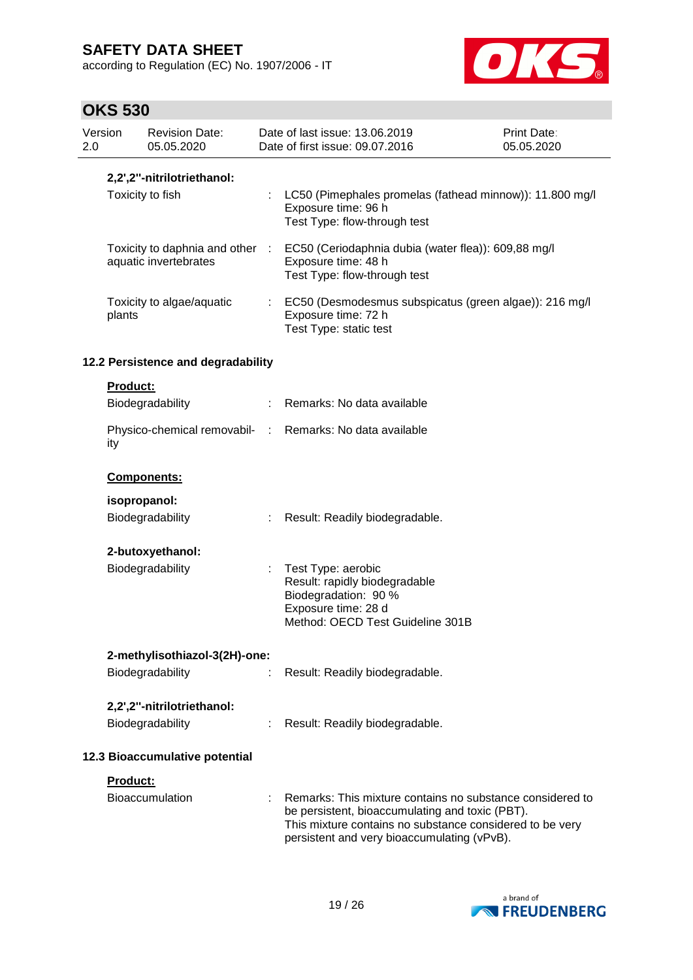according to Regulation (EC) No. 1907/2006 - IT



| Version<br>2.0                 |                 | <b>Revision Date:</b><br>05.05.2020 |   | Date of last issue: 13.06.2019<br>Date of first issue: 09.07.2016                                                                                                                                                       | Print Date:<br>05.05.2020 |
|--------------------------------|-----------------|-------------------------------------|---|-------------------------------------------------------------------------------------------------------------------------------------------------------------------------------------------------------------------------|---------------------------|
|                                |                 | 2,2',2"-nitrilotriethanol:          |   |                                                                                                                                                                                                                         |                           |
|                                |                 | Toxicity to fish                    |   | LC50 (Pimephales promelas (fathead minnow)): 11.800 mg/l<br>Exposure time: 96 h<br>Test Type: flow-through test                                                                                                         |                           |
|                                |                 | aquatic invertebrates               |   | Toxicity to daphnia and other : EC50 (Ceriodaphnia dubia (water flea)): 609,88 mg/l<br>Exposure time: 48 h<br>Test Type: flow-through test                                                                              |                           |
|                                | plants          | Toxicity to algae/aquatic           |   | : EC50 (Desmodesmus subspicatus (green algae)): 216 mg/l<br>Exposure time: 72 h<br>Test Type: static test                                                                                                               |                           |
|                                |                 | 12.2 Persistence and degradability  |   |                                                                                                                                                                                                                         |                           |
|                                | <b>Product:</b> |                                     |   |                                                                                                                                                                                                                         |                           |
|                                |                 | Biodegradability                    |   | : Remarks: No data available                                                                                                                                                                                            |                           |
|                                | ity             |                                     |   | Physico-chemical removabil- : Remarks: No data available                                                                                                                                                                |                           |
|                                |                 | Components:                         |   |                                                                                                                                                                                                                         |                           |
|                                | isopropanol:    |                                     |   |                                                                                                                                                                                                                         |                           |
|                                |                 | Biodegradability                    |   | Result: Readily biodegradable.                                                                                                                                                                                          |                           |
|                                |                 | 2-butoxyethanol:                    |   |                                                                                                                                                                                                                         |                           |
|                                |                 | Biodegradability                    | ÷ | Test Type: aerobic<br>Result: rapidly biodegradable<br>Biodegradation: 90 %<br>Exposure time: 28 d<br>Method: OECD Test Guideline 301B                                                                                  |                           |
|                                |                 | 2-methylisothiazol-3(2H)-one:       |   |                                                                                                                                                                                                                         |                           |
|                                |                 | Biodegradability                    |   | Result: Readily biodegradable.                                                                                                                                                                                          |                           |
|                                |                 | 2,2',2"-nitrilotriethanol:          |   |                                                                                                                                                                                                                         |                           |
|                                |                 | Biodegradability                    |   | Result: Readily biodegradable.                                                                                                                                                                                          |                           |
| 12.3 Bioaccumulative potential |                 |                                     |   |                                                                                                                                                                                                                         |                           |
|                                | Product:        |                                     |   |                                                                                                                                                                                                                         |                           |
|                                |                 | <b>Bioaccumulation</b>              |   | Remarks: This mixture contains no substance considered to<br>be persistent, bioaccumulating and toxic (PBT).<br>This mixture contains no substance considered to be very<br>persistent and very bioaccumulating (vPvB). |                           |

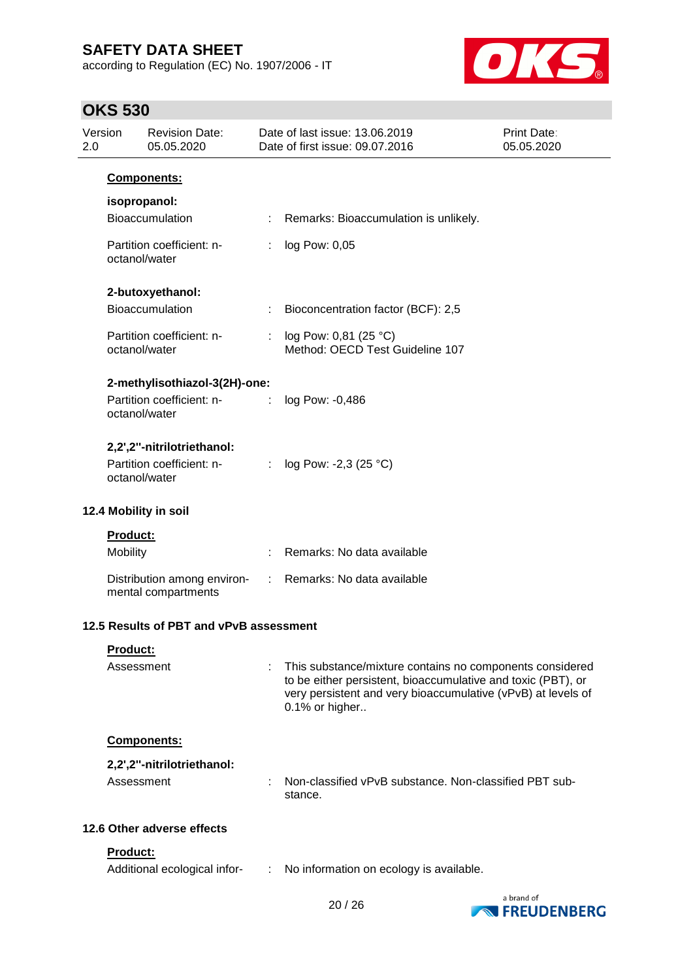according to Regulation (EC) No. 1907/2006 - IT



| Version<br>2.0 | <b>Revision Date:</b><br>05.05.2020                                      |   | Date of last issue: 13.06.2019<br>Date of first issue: 09.07.2016                                                                                                                                          | Print Date:<br>05.05.2020 |
|----------------|--------------------------------------------------------------------------|---|------------------------------------------------------------------------------------------------------------------------------------------------------------------------------------------------------------|---------------------------|
|                | <b>Components:</b>                                                       |   |                                                                                                                                                                                                            |                           |
|                | isopropanol:<br>Bioaccumulation                                          |   | Remarks: Bioaccumulation is unlikely.                                                                                                                                                                      |                           |
|                | Partition coefficient: n-<br>octanol/water                               | ÷ | log Pow: 0,05                                                                                                                                                                                              |                           |
|                | 2-butoxyethanol:<br>Bioaccumulation                                      |   | Bioconcentration factor (BCF): 2,5                                                                                                                                                                         |                           |
|                | Partition coefficient: n-<br>octanol/water                               |   | : $log Pow: 0,81 (25 °C)$<br>Method: OECD Test Guideline 107                                                                                                                                               |                           |
|                | 2-methylisothiazol-3(2H)-one:                                            |   |                                                                                                                                                                                                            |                           |
|                | Partition coefficient: n-<br>octanol/water                               | ÷ | log Pow: -0,486                                                                                                                                                                                            |                           |
|                | 2,2',2"-nitrilotriethanol:<br>Partition coefficient: n-<br>octanol/water |   | : $log Pow: -2,3 (25 °C)$                                                                                                                                                                                  |                           |
|                | 12.4 Mobility in soil                                                    |   |                                                                                                                                                                                                            |                           |
|                | Product:<br>Mobility                                                     |   | Remarks: No data available                                                                                                                                                                                 |                           |
|                | Distribution among environ-<br>mental compartments                       |   | : Remarks: No data available                                                                                                                                                                               |                           |
|                | 12.5 Results of PBT and vPvB assessment                                  |   |                                                                                                                                                                                                            |                           |
|                | Product:<br>Assessment                                                   |   | This substance/mixture contains no components considered<br>to be either persistent, bioaccumulative and toxic (PBT), or<br>very persistent and very bioaccumulative (vPvB) at levels of<br>0.1% or higher |                           |
|                | <b>Components:</b>                                                       |   |                                                                                                                                                                                                            |                           |
|                | 2,2',2"-nitrilotriethanol:<br>Assessment                                 |   | Non-classified vPvB substance. Non-classified PBT sub-<br>stance.                                                                                                                                          |                           |
|                | 12.6 Other adverse effects                                               |   |                                                                                                                                                                                                            |                           |
|                | Product:<br>Additional ecological infor-                                 | ÷ | No information on ecology is available.                                                                                                                                                                    |                           |



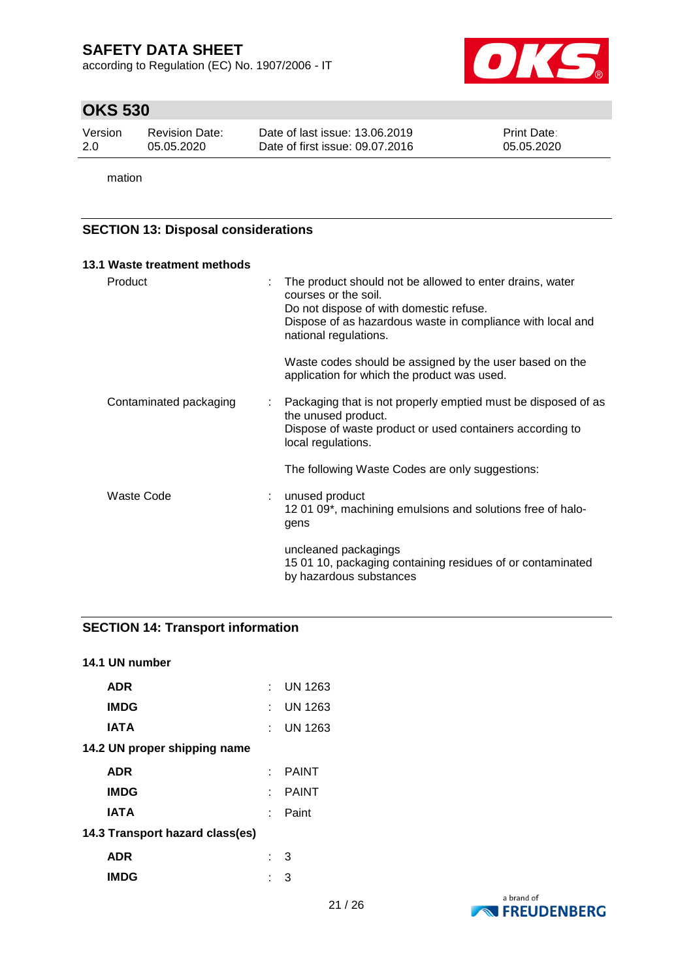according to Regulation (EC) No. 1907/2006 - IT



# **OKS 530**

| Version | Revision Date: | Date of last issue: 13.06.2019  | <b>Print Date:</b> |
|---------|----------------|---------------------------------|--------------------|
| -2.0    | 05.05.2020     | Date of first issue: 09.07.2016 | 05.05.2020         |

mation

### **SECTION 13: Disposal considerations**

| 13.1 Waste treatment methods |                                                                                                                                                                                                                    |
|------------------------------|--------------------------------------------------------------------------------------------------------------------------------------------------------------------------------------------------------------------|
| Product                      | The product should not be allowed to enter drains, water<br>courses or the soil.<br>Do not dispose of with domestic refuse.<br>Dispose of as hazardous waste in compliance with local and<br>national regulations. |
|                              | Waste codes should be assigned by the user based on the<br>application for which the product was used.                                                                                                             |
| Contaminated packaging       | Packaging that is not properly emptied must be disposed of as<br>the unused product.<br>Dispose of waste product or used containers according to<br>local regulations.                                             |
|                              | The following Waste Codes are only suggestions:                                                                                                                                                                    |
| Waste Code                   | unused product<br>1201 09*, machining emulsions and solutions free of halo-<br>gens                                                                                                                                |
|                              | uncleaned packagings<br>15 01 10, packaging containing residues of or contaminated<br>by hazardous substances                                                                                                      |

### **SECTION 14: Transport information**

| 14.1 UN number                  |                             |                |  |  |  |
|---------------------------------|-----------------------------|----------------|--|--|--|
| <b>ADR</b>                      | $\mathcal{F}_{\mathcal{A}}$ | <b>UN 1263</b> |  |  |  |
| <b>IMDG</b>                     | t - 1                       | <b>UN 1263</b> |  |  |  |
| IATA                            | t in                        | UN 1263        |  |  |  |
| 14.2 UN proper shipping name    |                             |                |  |  |  |
| <b>ADR</b>                      |                             | <b>PAINT</b>   |  |  |  |
| <b>IMDG</b>                     | t in                        | <b>PAINT</b>   |  |  |  |
| IATA                            | × 1                         | Paint          |  |  |  |
| 14.3 Transport hazard class(es) |                             |                |  |  |  |
| ADR                             | t in                        | 3              |  |  |  |
| <b>IMDG</b>                     |                             | З              |  |  |  |

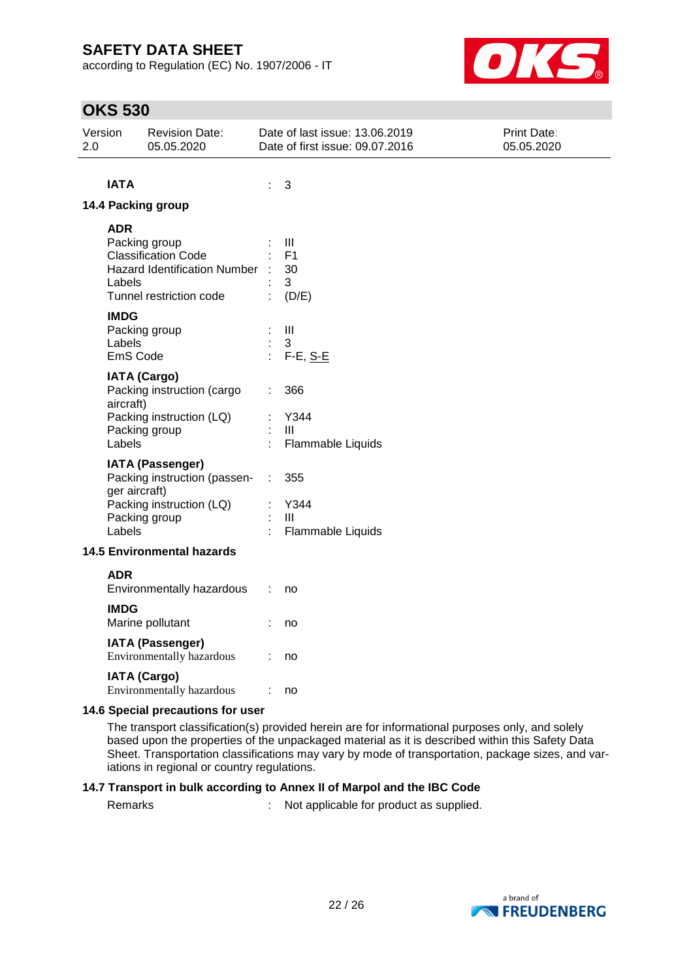according to Regulation (EC) No. 1907/2006 - IT



# **OKS 530**

| 2.0 | Version                           | <b>Revision Date:</b><br>05.05.2020 |                | Date of last issue: 13.06.2019<br>Date of first issue: 09.07.2016 | Print Date:<br>05.05.2020 |  |
|-----|-----------------------------------|-------------------------------------|----------------|-------------------------------------------------------------------|---------------------------|--|
|     |                                   |                                     |                |                                                                   |                           |  |
|     | <b>IATA</b>                       |                                     | t,             | 3                                                                 |                           |  |
|     |                                   | 14.4 Packing group                  |                |                                                                   |                           |  |
|     | <b>ADR</b>                        |                                     |                |                                                                   |                           |  |
|     |                                   | Packing group                       |                | Ш                                                                 |                           |  |
|     |                                   | <b>Classification Code</b>          |                | F <sub>1</sub>                                                    |                           |  |
|     |                                   | Hazard Identification Number :      |                | 30                                                                |                           |  |
|     | Labels                            | Tunnel restriction code             |                | 3<br>(D/E)                                                        |                           |  |
|     |                                   |                                     |                |                                                                   |                           |  |
|     | <b>IMDG</b>                       |                                     |                |                                                                   |                           |  |
|     | Labels                            | Packing group                       | ÷              | Ш<br>3                                                            |                           |  |
|     | EmS Code                          |                                     | $\blacksquare$ | $F-E, S-E$                                                        |                           |  |
|     |                                   | <b>IATA (Cargo)</b>                 |                |                                                                   |                           |  |
|     |                                   | Packing instruction (cargo          |                | 366                                                               |                           |  |
|     | aircraft)                         |                                     |                |                                                                   |                           |  |
|     |                                   | Packing instruction (LQ)            |                | Y344                                                              |                           |  |
|     |                                   | Packing group                       |                | Ш                                                                 |                           |  |
|     | Labels                            |                                     |                | Flammable Liquids                                                 |                           |  |
|     |                                   | <b>IATA (Passenger)</b>             |                |                                                                   |                           |  |
|     |                                   | Packing instruction (passen-        | ÷              | 355                                                               |                           |  |
|     | ger aircraft)                     | Packing instruction (LQ)            |                | Y344                                                              |                           |  |
|     |                                   | Packing group                       | ÷.             | Ш                                                                 |                           |  |
|     | Labels                            |                                     |                | Flammable Liquids                                                 |                           |  |
|     |                                   | <b>14.5 Environmental hazards</b>   |                |                                                                   |                           |  |
|     |                                   |                                     |                |                                                                   |                           |  |
|     | <b>ADR</b>                        |                                     |                |                                                                   |                           |  |
|     |                                   | Environmentally hazardous           |                | no                                                                |                           |  |
|     | <b>IMDG</b>                       |                                     |                |                                                                   |                           |  |
|     |                                   | Marine pollutant                    |                | no                                                                |                           |  |
|     |                                   | <b>IATA (Passenger)</b>             |                |                                                                   |                           |  |
|     |                                   | Environmentally hazardous           |                | no                                                                |                           |  |
|     |                                   | <b>IATA (Cargo)</b>                 |                |                                                                   |                           |  |
|     |                                   | Environmentally hazardous           |                | no                                                                |                           |  |
|     | 14.6 Special precautions for user |                                     |                |                                                                   |                           |  |

The transport classification(s) provided herein are for informational purposes only, and solely based upon the properties of the unpackaged material as it is described within this Safety Data Sheet. Transportation classifications may vary by mode of transportation, package sizes, and variations in regional or country regulations.

#### **14.7 Transport in bulk according to Annex II of Marpol and the IBC Code**

Remarks : Not applicable for product as supplied.

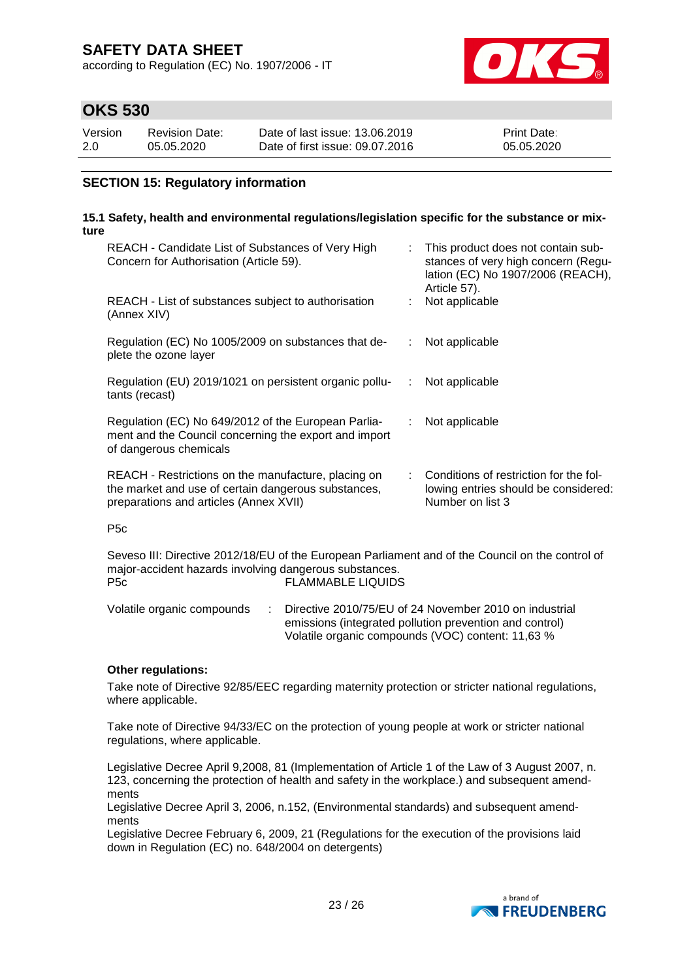according to Regulation (EC) No. 1907/2006 - IT



### **OKS 530**

| Version | Revision Date: | Date of last issue: 13.06.2019  | <b>Print Date:</b> |
|---------|----------------|---------------------------------|--------------------|
| 2.0     | 05.05.2020     | Date of first issue: 09.07.2016 | 05.05.2020         |

### **SECTION 15: Regulatory information**

#### **15.1 Safety, health and environmental regulations/legislation specific for the substance or mixture**

| REACH - Candidate List of Substances of Very High<br>Concern for Authorisation (Article 59).                                                         |    | This product does not contain sub-<br>stances of very high concern (Regu-<br>lation (EC) No 1907/2006 (REACH),<br>Article 57). |
|------------------------------------------------------------------------------------------------------------------------------------------------------|----|--------------------------------------------------------------------------------------------------------------------------------|
| REACH - List of substances subject to authorisation<br>(Annex XIV)                                                                                   |    | Not applicable                                                                                                                 |
| Regulation (EC) No 1005/2009 on substances that de-<br>plete the ozone layer                                                                         | ÷. | Not applicable                                                                                                                 |
| Regulation (EU) 2019/1021 on persistent organic pollu-<br>tants (recast)                                                                             | ÷. | Not applicable                                                                                                                 |
| Regulation (EC) No 649/2012 of the European Parlia-<br>ment and the Council concerning the export and import<br>of dangerous chemicals               | ÷. | Not applicable                                                                                                                 |
| REACH - Restrictions on the manufacture, placing on<br>the market and use of certain dangerous substances,<br>preparations and articles (Annex XVII) |    | Conditions of restriction for the fol-<br>lowing entries should be considered:<br>Number on list 3                             |
| P <sub>5</sub> c                                                                                                                                     |    |                                                                                                                                |

Seveso III: Directive 2012/18/EU of the European Parliament and of the Council on the control of major-accident hazards involving dangerous substances.<br>P5c FLAMMABLE LIQUIDS FLAMMABLE LIQUIDS

Volatile organic compounds : Directive 2010/75/EU of 24 November 2010 on industrial emissions (integrated pollution prevention and control) Volatile organic compounds (VOC) content: 11,63 %

#### **Other regulations:**

Take note of Directive 92/85/EEC regarding maternity protection or stricter national regulations, where applicable.

Take note of Directive 94/33/EC on the protection of young people at work or stricter national regulations, where applicable.

Legislative Decree April 9,2008, 81 (Implementation of Article 1 of the Law of 3 August 2007, n. 123, concerning the protection of health and safety in the workplace.) and subsequent amendments

Legislative Decree April 3, 2006, n.152, (Environmental standards) and subsequent amendments

Legislative Decree February 6, 2009, 21 (Regulations for the execution of the provisions laid down in Regulation (EC) no. 648/2004 on detergents)

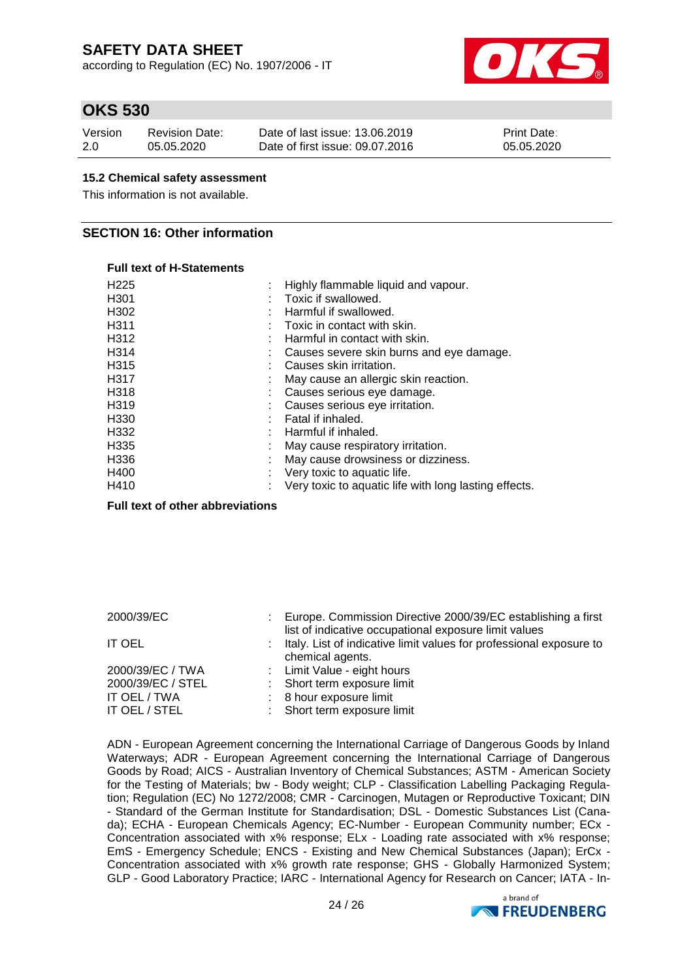according to Regulation (EC) No. 1907/2006 - IT



### **OKS 530**

| Version | Revision Date: | Date of last issue: 13.06.2019  | <b>Print Date:</b> |
|---------|----------------|---------------------------------|--------------------|
| 2.0     | 05.05.2020     | Date of first issue: 09.07.2016 | 05.05.2020         |

#### **15.2 Chemical safety assessment**

This information is not available.

### **SECTION 16: Other information**

#### **Full text of H-Statements**

| H <sub>225</sub> | Highly flammable liquid and vapour.                   |
|------------------|-------------------------------------------------------|
| H <sub>301</sub> | Toxic if swallowed.                                   |
| H302             | Harmful if swallowed.                                 |
| H311             | Toxic in contact with skin.                           |
| H312             | Harmful in contact with skin.                         |
| H314             | : Causes severe skin burns and eye damage.            |
| H315             | Causes skin irritation.                               |
| H317             | May cause an allergic skin reaction.                  |
| H318             | Causes serious eye damage.                            |
| H319             | Causes serious eye irritation.                        |
| H330             | Fatal if inhaled.                                     |
| H332             | : Harmful if inhaled.                                 |
| H335             | May cause respiratory irritation.                     |
| H336             | May cause drowsiness or dizziness.                    |
| H400             | Very toxic to aquatic life.                           |
| H410             | Very toxic to aquatic life with long lasting effects. |

**Full text of other abbreviations**

| 2000/39/EC                                            | Europe. Commission Directive 2000/39/EC establishing a first<br>list of indicative occupational exposure limit values |
|-------------------------------------------------------|-----------------------------------------------------------------------------------------------------------------------|
| <b>IT OEL</b>                                         | : Italy. List of indicative limit values for professional exposure to<br>chemical agents.                             |
| 2000/39/EC / TWA<br>2000/39/EC / STEL<br>IT OEL / TWA | : Limit Value - eight hours<br>: Short term exposure limit<br>: 8 hour exposure limit                                 |
| IT OEL / STEL                                         | : Short term exposure limit                                                                                           |

ADN - European Agreement concerning the International Carriage of Dangerous Goods by Inland Waterways; ADR - European Agreement concerning the International Carriage of Dangerous Goods by Road; AICS - Australian Inventory of Chemical Substances; ASTM - American Society for the Testing of Materials; bw - Body weight; CLP - Classification Labelling Packaging Regulation; Regulation (EC) No 1272/2008; CMR - Carcinogen, Mutagen or Reproductive Toxicant; DIN - Standard of the German Institute for Standardisation; DSL - Domestic Substances List (Canada); ECHA - European Chemicals Agency; EC-Number - European Community number; ECx - Concentration associated with x% response; ELx - Loading rate associated with x% response; EmS - Emergency Schedule; ENCS - Existing and New Chemical Substances (Japan); ErCx - Concentration associated with x% growth rate response; GHS - Globally Harmonized System; GLP - Good Laboratory Practice; IARC - International Agency for Research on Cancer; IATA - In-

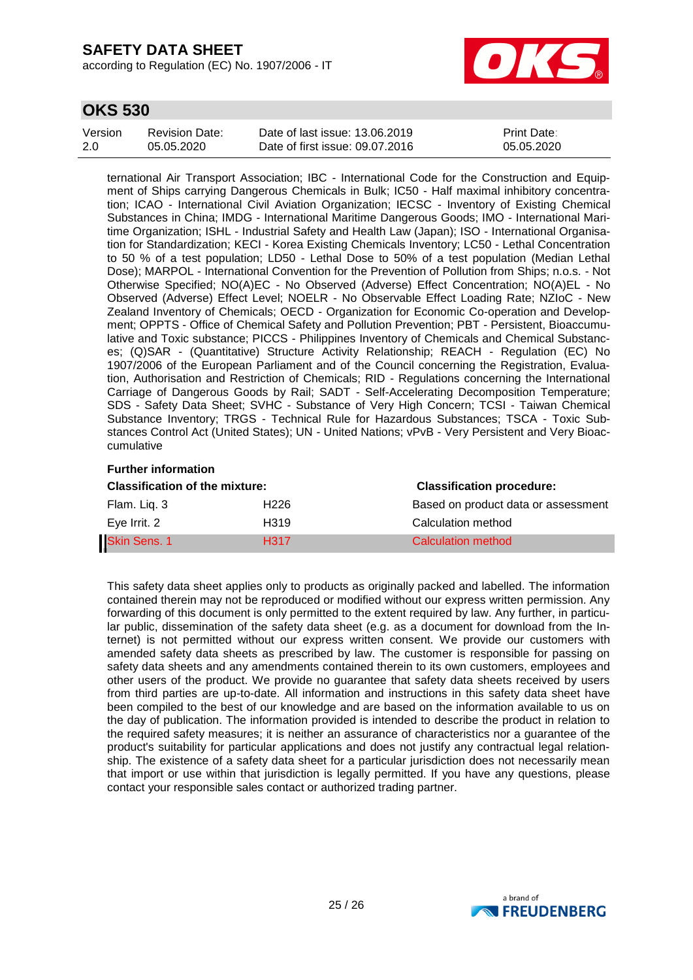according to Regulation (EC) No. 1907/2006 - IT



### **OKS 530**

| Version | Revision Date: | Date of last issue: 13.06.2019  | <b>Print Date:</b> |
|---------|----------------|---------------------------------|--------------------|
| 2.0     | 05.05.2020     | Date of first issue: 09.07.2016 | 05.05.2020         |

ternational Air Transport Association; IBC - International Code for the Construction and Equipment of Ships carrying Dangerous Chemicals in Bulk; IC50 - Half maximal inhibitory concentration; ICAO - International Civil Aviation Organization; IECSC - Inventory of Existing Chemical Substances in China; IMDG - International Maritime Dangerous Goods; IMO - International Maritime Organization; ISHL - Industrial Safety and Health Law (Japan); ISO - International Organisation for Standardization; KECI - Korea Existing Chemicals Inventory; LC50 - Lethal Concentration to 50 % of a test population; LD50 - Lethal Dose to 50% of a test population (Median Lethal Dose); MARPOL - International Convention for the Prevention of Pollution from Ships; n.o.s. - Not Otherwise Specified; NO(A)EC - No Observed (Adverse) Effect Concentration; NO(A)EL - No Observed (Adverse) Effect Level; NOELR - No Observable Effect Loading Rate; NZIoC - New Zealand Inventory of Chemicals; OECD - Organization for Economic Co-operation and Development; OPPTS - Office of Chemical Safety and Pollution Prevention; PBT - Persistent, Bioaccumulative and Toxic substance; PICCS - Philippines Inventory of Chemicals and Chemical Substances; (Q)SAR - (Quantitative) Structure Activity Relationship; REACH - Regulation (EC) No 1907/2006 of the European Parliament and of the Council concerning the Registration, Evaluation, Authorisation and Restriction of Chemicals; RID - Regulations concerning the International Carriage of Dangerous Goods by Rail; SADT - Self-Accelerating Decomposition Temperature; SDS - Safety Data Sheet; SVHC - Substance of Very High Concern; TCSI - Taiwan Chemical Substance Inventory; TRGS - Technical Rule for Hazardous Substances; TSCA - Toxic Substances Control Act (United States); UN - United Nations; vPvB - Very Persistent and Very Bioaccumulative

### **Further information**

| <b>Classification of the mixture:</b> |                  | <b>Classification procedure:</b>    |  |  |
|---------------------------------------|------------------|-------------------------------------|--|--|
| Flam. Lig. 3                          | H226             | Based on product data or assessment |  |  |
| Eye Irrit. 2                          | H319             | Calculation method                  |  |  |
| Skin Sens. 1                          | H <sub>317</sub> | Calculation method                  |  |  |

This safety data sheet applies only to products as originally packed and labelled. The information contained therein may not be reproduced or modified without our express written permission. Any forwarding of this document is only permitted to the extent required by law. Any further, in particular public, dissemination of the safety data sheet (e.g. as a document for download from the Internet) is not permitted without our express written consent. We provide our customers with amended safety data sheets as prescribed by law. The customer is responsible for passing on safety data sheets and any amendments contained therein to its own customers, employees and other users of the product. We provide no guarantee that safety data sheets received by users from third parties are up-to-date. All information and instructions in this safety data sheet have been compiled to the best of our knowledge and are based on the information available to us on the day of publication. The information provided is intended to describe the product in relation to the required safety measures; it is neither an assurance of characteristics nor a guarantee of the product's suitability for particular applications and does not justify any contractual legal relationship. The existence of a safety data sheet for a particular jurisdiction does not necessarily mean that import or use within that jurisdiction is legally permitted. If you have any questions, please contact your responsible sales contact or authorized trading partner.